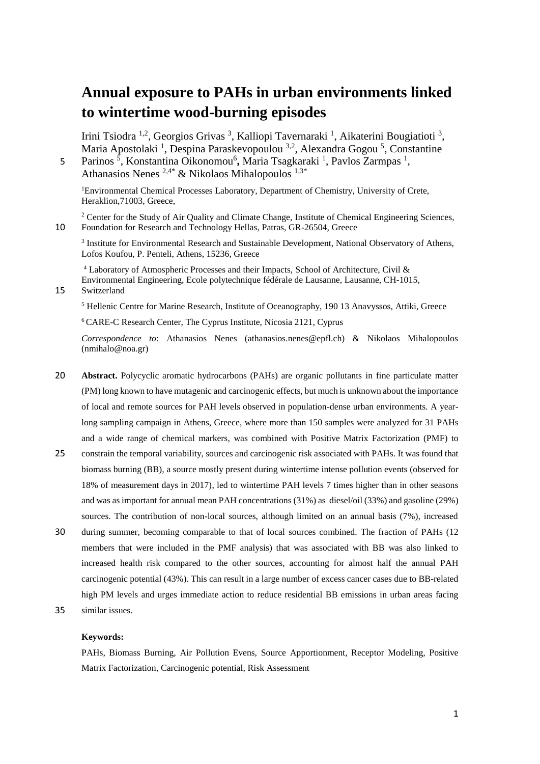# **Annual exposure to PAHs in urban environments linked to wintertime wood-burning episodes**

Irini Tsiodra <sup>1,2</sup>, Georgios Grivas<sup>3</sup>, Kalliopi Tavernaraki<sup>1</sup>, Aikaterini Bougiatioti<sup>3</sup>, Maria Apostolaki<sup>1</sup>, Despina Paraskevopoulou<sup>3,2</sup>, Alexandra Gogou<sup>5</sup>, Constantine

5 Parinos<sup>5</sup>, Konstantina Oikonomou<sup>6</sup>, Maria Tsagkaraki<sup>1</sup>, Pavlos Zarmpas<sup>1</sup>, Athanasios Nenes  $2.4*$  & Nikolaos Mihalopoulos  $1.3*$ 

<sup>1</sup>Environmental Chemical Processes Laboratory, Department of Chemistry, University of Crete, Heraklion,71003, Greece,

<sup>2</sup> Center for the Study of Air Quality and Climate Change, Institute of Chemical Engineering Sciences, 10 Foundation for Research and Technology Hellas, Patras, GR-26504, Greece

<sup>3</sup> Institute for Environmental Research and Sustainable Development, National Observatory of Athens, Lofos Koufou, P. Penteli, Athens, 15236, Greece

<sup>4</sup> Laboratory of Atmospheric Processes and their Impacts, School of Architecture, Civil & Environmental Engineering, Ecole polytechnique fédérale de Lausanne, Lausanne, CH-1015,

15 Switzerland

<sup>5</sup> Hellenic Centre for Marine Research, Institute of Oceanography, 190 13 Anavyssos, Attiki, Greece

<sup>6</sup> CARE-C Research Center, The Cyprus Institute, Nicosia 2121, Cyprus

*Correspondence to*: Athanasios Nenes (athanasios.nenes@epfl.ch) & Nikolaos Mihalopoulos (nmihalo@noa.gr)

- 20 **Abstract.** Polycyclic aromatic hydrocarbons (PAHs) are organic pollutants in fine particulate matter (PM) long known to have mutagenic and carcinogenic effects, but much is unknown about the importance of local and remote sources for PAH levels observed in population-dense urban environments. A yearlong sampling campaign in Athens, Greece, where more than 150 samples were analyzed for 31 PAHs and a wide range of chemical markers, was combined with Positive Matrix Factorization (PMF) to
- 25 constrain the temporal variability, sources and carcinogenic risk associated with PAHs. It was found that biomass burning (BB), a source mostly present during wintertime intense pollution events (observed for 18% of measurement days in 2017), led to wintertime PAH levels 7 times higher than in other seasons and was as important for annual mean PAH concentrations (31%) as diesel/oil (33%) and gasoline (29%) sources. The contribution of non-local sources, although limited on an annual basis (7%), increased
- 30 during summer, becoming comparable to that of local sources combined. The fraction of PAHs (12 members that were included in the PMF analysis) that was associated with BB was also linked to increased health risk compared to the other sources, accounting for almost half the annual PAH carcinogenic potential (43%). This can result in a large number of excess cancer cases due to BB-related high PM levels and urges immediate action to reduce residential BB emissions in urban areas facing
- 35 similar issues.

#### **Keywords:**

PAHs, Biomass Burning, Air Pollution Evens, Source Apportionment, Receptor Modeling, Positive Matrix Factorization, Carcinogenic potential, Risk Assessment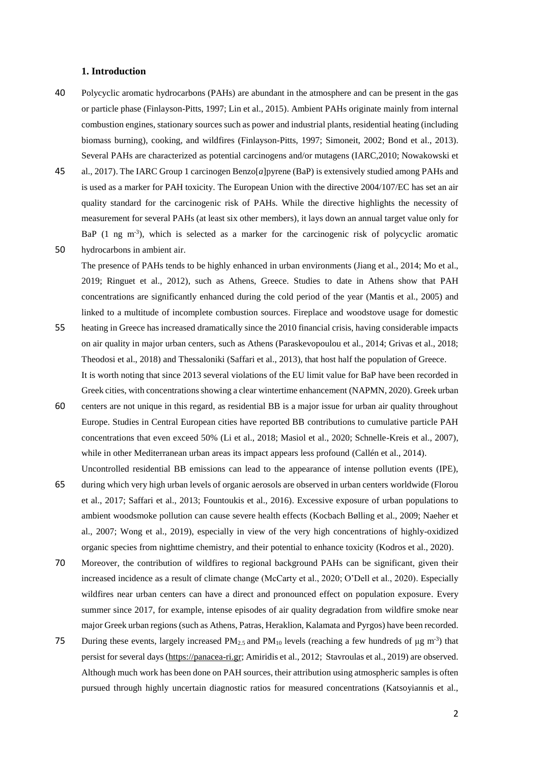### **1. Introduction**

- 40 Polycyclic aromatic hydrocarbons (PAHs) are abundant in the atmosphere and can be present in the gas or particle phase (Finlayson-Pitts, 1997; Lin et al., 2015). Ambient PAHs originate mainly from internal combustion engines, stationary sources such as power and industrial plants, residential heating (including biomass burning), cooking, and wildfires (Finlayson-Pitts, 1997; Simoneit, 2002; Bond et al., 2013). Several PAHs are characterized as potential carcinogens and/or mutagens (IARC,2010; Nowakowski et
- 45 al., 2017). The IARC Group 1 carcinogen Benzo[*a*]pyrene (BaP) is extensively studied among PAHs and is used as a marker for PAH toxicity. The European Union with the directive 2004/107/EC has set an air quality standard for the carcinogenic risk of PAHs. While the directive highlights the necessity of measurement for several PAHs (at least six other members), it lays down an annual target value only for BaP (1 ng m<sup>-3</sup>), which is selected as a marker for the carcinogenic risk of polycyclic aromatic 50 hydrocarbons in ambient air.

The presence of PAHs tends to be highly enhanced in urban environments (Jiang et al., 2014; Mo et al., 2019; Ringuet et al., 2012), such as Athens, Greece. Studies to date in Athens show that PAH concentrations are significantly enhanced during the cold period of the year (Mantis et al., 2005) and linked to a multitude of incomplete combustion sources. Fireplace and woodstove usage for domestic 55 heating in Greece has increased dramatically since the 2010 financial crisis, having considerable impacts

- on air quality in major urban centers, such as Athens (Paraskevopoulou et al., 2014; Grivas et al., 2018; Theodosi et al., 2018) and Thessaloniki (Saffari et al., 2013), that host half the population of Greece. It is worth noting that since 2013 several violations of the EU limit value for BaP have been recorded in Greek cities, with concentrations showing a clear wintertime enhancement (NAPMN, 2020). Greek urban
- 60 centers are not unique in this regard, as residential BB is a major issue for urban air quality throughout Europe. Studies in Central European cities have reported BB contributions to cumulative particle PAH concentrations that even exceed 50% (Li et al., 2018; Masiol et al., 2020; Schnelle-Kreis et al., 2007), while in other Mediterranean urban areas its impact appears less profound (Callén et al., 2014). Uncontrolled residential BB emissions can lead to the appearance of intense pollution events (IPE),
- 65 during which very high urban levels of organic aerosols are observed in urban centers worldwide (Florou et al., 2017; Saffari et al., 2013; Fountoukis et al., 2016). Excessive exposure of urban populations to ambient woodsmoke pollution can cause severe health effects (Kocbach Bølling et al., 2009; Naeher et al., 2007; Wong et al., 2019), especially in view of the very high concentrations of highly-oxidized organic species from nighttime chemistry, and their potential to enhance toxicity (Kodros et al., 2020).
- 70 Moreover, the contribution of wildfires to regional background PAHs can be significant, given their increased incidence as a result of climate change (McCarty et al., 2020; O'Dell et al., 2020). Especially wildfires near urban centers can have a direct and pronounced effect on population exposure. Every summer since 2017, for example, intense episodes of air quality degradation from wildfire smoke near major Greek urban regions (such as Athens, Patras, Heraklion, Kalamata and Pyrgos) have been recorded.
- 75 During these events, largely increased  $PM_{2.5}$  and  $PM_{10}$  levels (reaching a few hundreds of  $\mu$ g m<sup>-3</sup>) that persist for several days [\(https://panacea-ri.gr;](https://panacea-ri.gr/) Amiridis et al., 2012; Stavroulas et al., 2019) are observed. Although much work has been done on PAH sources, their attribution using atmospheric samples is often pursued through highly uncertain diagnostic ratios for measured concentrations (Katsoyiannis et al.,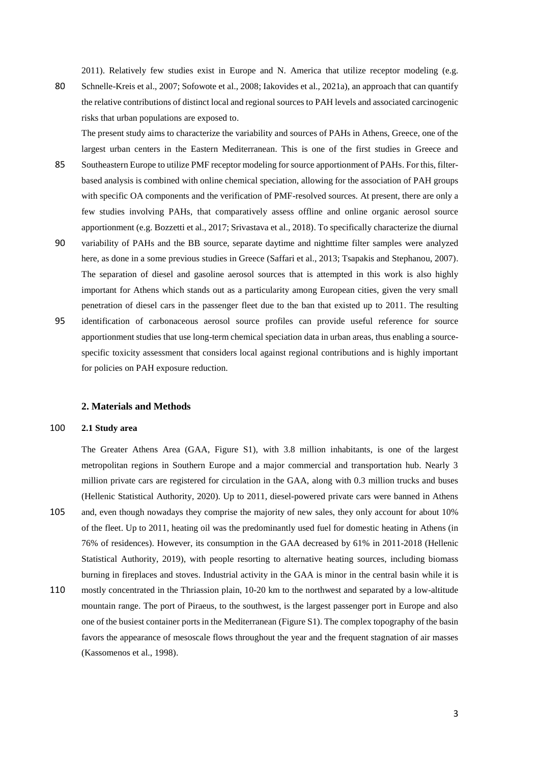2011). Relatively few studies exist in Europe and N. America that utilize receptor modeling (e.g.

80 Schnelle-Kreis et al., 2007; Sofowote et al., 2008; Iakovides et al., 2021a), an approach that can quantify the relative contributions of distinct local and regional sources to PAH levels and associated carcinogenic risks that urban populations are exposed to.

The present study aims to characterize the variability and sources of PAHs in Athens, Greece, one of the largest urban centers in the Eastern Mediterranean. This is one of the first studies in Greece and

- 85 Southeastern Europe to utilize PMF receptor modeling for source apportionment of PAHs. For this, filterbased analysis is combined with online chemical speciation, allowing for the association of PAH groups with specific OA components and the verification of PMF-resolved sources. At present, there are only a few studies involving PAHs, that comparatively assess offline and online organic aerosol source apportionment (e.g. Bozzetti et al., 2017; Srivastava et al., 2018). To specifically characterize the diurnal
- 90 variability of PAHs and the BB source, separate daytime and nighttime filter samples were analyzed here, as done in a some previous studies in Greece (Saffari et al., 2013; Tsapakis and Stephanou, 2007). The separation of diesel and gasoline aerosol sources that is attempted in this work is also highly important for Athens which stands out as a particularity among European cities, given the very small penetration of diesel cars in the passenger fleet due to the ban that existed up to 2011. The resulting
- 95 identification of carbonaceous aerosol source profiles can provide useful reference for source apportionment studies that use long-term chemical speciation data in urban areas, thus enabling a sourcespecific toxicity assessment that considers local against regional contributions and is highly important for policies on PAH exposure reduction.

## **2. Materials and Methods**

# 100 **2.1 Study area**

The Greater Athens Area (GAA, Figure S1), with 3.8 million inhabitants, is one of the largest metropolitan regions in Southern Europe and a major commercial and transportation hub. Nearly 3 million private cars are registered for circulation in the GAA, along with 0.3 million trucks and buses (Hellenic Statistical Authority, 2020). Up to 2011, diesel-powered private cars were banned in Athens 105 and, even though nowadays they comprise the majority of new sales, they only account for about 10% of the fleet. Up to 2011, heating oil was the predominantly used fuel for domestic heating in Athens (in 76% of residences). However, its consumption in the GAA decreased by 61% in 2011-2018 (Hellenic Statistical Authority, 2019), with people resorting to alternative heating sources, including biomass burning in fireplaces and stoves. Industrial activity in the GAA is minor in the central basin while it is

110 mostly concentrated in the Thriassion plain, 10-20 km to the northwest and separated by a low-altitude mountain range. The port of Piraeus, to the southwest, is the largest passenger port in Europe and also one of the busiest container ports in the Mediterranean (Figure S1). The complex topography of the basin favors the appearance of mesoscale flows throughout the year and the frequent stagnation of air masses (Kassomenos et al., 1998).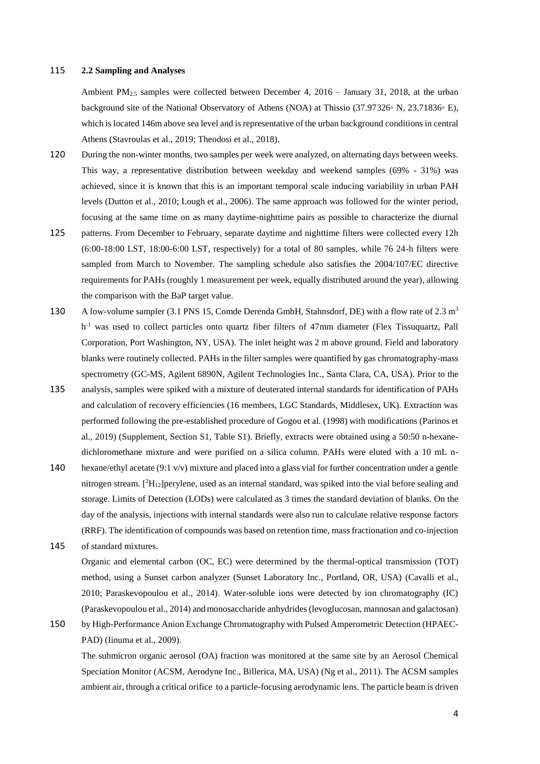#### 115 **2.2 Sampling and Analyses**

Ambient PM2.5 samples were collected between December 4, 2016 – January 31, 2018, at the urban background site of the National Observatory of Athens (NOA) at Thissio (37.97326◦ N, 23.71836◦ E), which is located 146m above sea level and is representative of the urban background conditions in central Athens (Stavroulas et al., 2019; Theodosi et al., 2018).

- 120 During the non-winter months, two samples per week were analyzed, on alternating days between weeks. This way, a representative distribution between weekday and weekend samples (69% - 31%) was achieved, since it is known that this is an important temporal scale inducing variability in urban PAH levels (Dutton et al., 2010; Lough et al., 2006). The same approach was followed for the winter period, focusing at the same time on as many daytime-nighttime pairs as possible to characterize the diurnal
- 125 patterns. From December to February, separate daytime and nighttime filters were collected every 12h (6:00-18:00 LST, 18:00-6:00 LST, respectively) for a total of 80 samples, while 76 24-h filters were sampled from March to November. The sampling schedule also satisfies the 2004/107/EC directive requirements for PAHs (roughly 1 measurement per week, equally distributed around the year), allowing the comparison with the BaP target value.
- 130 A low-volume sampler (3.1 PNS 15, Comde Derenda GmbH, Stahnsdorf, DE) with a flow rate of 2.3 m<sup>3</sup> h<sup>-1</sup> was used to collect particles onto quartz fiber filters of 47mm diameter (Flex Tissuquartz, Pall Corporation, Port Washington, NY, USA). The inlet height was 2 m above ground. Field and laboratory blanks were routinely collected. PAHs in the filter samples were quantified by gas chromatography-mass spectrometry (GC-MS, Agilent 6890N, Agilent Technologies Inc., Santa Clara, CA, USA). Prior to the
- 135 analysis, samples were spiked with a mixture of deuterated internal standards for identification of PAHs and calculation of recovery efficiencies (16 members, LGC Standards, Middlesex, UK). Extraction was performed following the pre-established procedure of Gogou et al. (1998) with modifications (Parinos et al., 2019) (Supplement, Section S1, Table S1). Briefly, extracts were obtained using a 50:50 n-hexanedichloromethane mixture and were purified on a silica column. PAHs were eluted with a 10 mL n-
- 140 hexane/ethyl acetate (9:1 v/v) mixture and placed into a glass vial for further concentration under a gentle nitrogen stream. [<sup>2</sup>H<sub>12</sub>]perylene, used as an internal standard, was spiked into the vial before sealing and storage. Limits of Detection (LODs) were calculated as 3 times the standard deviation of blanks. On the day of the analysis, injections with internal standards were also run to calculate relative response factors (RRF). The identification of compounds was based on retention time, mass fractionation and co-injection
- 145 of standard mixtures.

Organic and elemental carbon (OC, EC) were determined by the thermal-optical transmission (TOT) method, using a Sunset carbon analyzer (Sunset Laboratory Inc., Portland, OR, USA) (Cavalli et al., 2010; Paraskevopoulou et al., 2014). Water-soluble ions were detected by ion chromatography (IC) (Paraskevopoulou et al., 2014) andmonosaccharide anhydrides (levoglucosan, mannosan and galactosan)

150 by High-Performance Anion Exchange Chromatography with Pulsed Amperometric Detection (HPAEC-PAD) (Iinuma et al., 2009).

The submicron organic aerosol (OA) fraction was monitored at the same site by an Aerosol Chemical Speciation Monitor (ACSM, Aerodyne Inc., Billerica, MA, USA) (Ng et al., 2011). Τhe ACSM samples ambient air, through a critical orifice to a particle-focusing aerodynamic lens. The particle beam is driven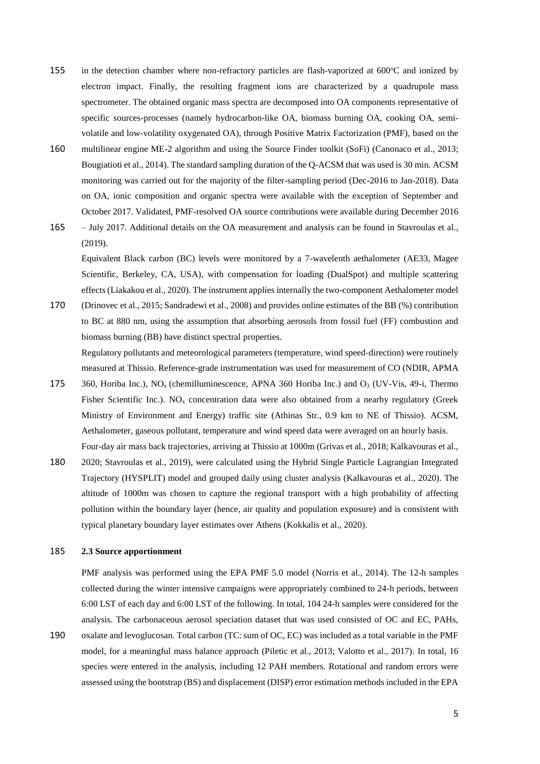- 155 in the detection chamber where non-refractory particles are flash-vaporized at  $600^{\circ}$ C and ionized by electron impact. Finally, the resulting fragment ions are characterized by a quadrupole mass spectrometer. The obtained organic mass spectra are decomposed into OA components representative of specific sources-processes (namely hydrocarbon-like OA, biomass burning OA, cooking OA, semivolatile and low-volatility oxygenated OA), through Positive Matrix Factorization (PMF), based on the
- 160 multilinear engine ME-2 algorithm and using the Source Finder toolkit (SoFi) (Canonaco et al., 2013; Bougiatioti et al., 2014). The standard sampling duration of the Q-ACSM that was used is 30 min. ACSM monitoring was carried out for the majority of the filter-sampling period (Dec-2016 to Jan-2018). Data on OA, ionic composition and organic spectra were available with the exception of September and October 2017. Validated, PMF-resolved OA source contributions were available during December 2016
- 165 July 2017. Additional details on the OA measurement and analysis can be found in Stavroulas et al., (2019).

Equivalent Black carbon (BC) levels were monitored by a 7-wavelenth aethalometer (AE33, Magee Scientific, Berkeley, CA, USA), with compensation for loading (DualSpot) and multiple scattering effects (Liakakou et al., 2020). The instrument applies internally the two-component Aethalometer model

170 (Drinovec et al., 2015; Sandradewi et al., 2008) and provides online estimates of the BB (%) contribution to BC at 880 nm, using the assumption that absorbing aerosols from fossil fuel (FF) combustion and biomass burning (BB) have distinct spectral properties.

Regulatory pollutants and meteorological parameters (temperature, wind speed-direction) were routinely measured at Thissio. Reference-grade instrumentation was used for measurement of CO (NDIR, APMA

- 175 360, Horiba Inc.),  $NO<sub>x</sub>$  (chemilluminescence, APNA 360 Horiba Inc.) and  $O<sub>3</sub>$  (UV-Vis, 49-i, Thermo Fisher Scientific Inc.). NO<sub>x</sub> concentration data were also obtained from a nearby regulatory (Greek Ministry of Environment and Energy) traffic site (Athinas Str., 0.9 km to NE of Thissio). ACSM, Aethalometer, gaseous pollutant, temperature and wind speed data were averaged on an hourly basis. Four-day air mass back trajectories, arriving at Thissio at 1000m (Grivas et al., 2018; Kalkavouras et al.,
- 180 2020; Stavroulas et al., 2019), were calculated using the Hybrid Single Particle Lagrangian Integrated Trajectory (HYSPLIT) model and grouped daily using cluster analysis (Kalkavouras et al., 2020). The altitude of 1000m was chosen to capture the regional transport with a high probability of affecting pollution within the boundary layer (hence, air quality and population exposure) and is consistent with typical planetary boundary layer estimates over Athens (Kokkalis et al., 2020).

# 185 **2.3 Source apportionment**

PMF analysis was performed using the EPA PMF 5.0 model (Norris et al., 2014). The 12-h samples collected during the winter intensive campaigns were appropriately combined to 24-h periods, between 6:00 LST of each day and 6:00 LST of the following. In total, 104 24-h samples were considered for the analysis. The carbonaceous aerosol speciation dataset that was used consisted of OC and EC, PAHs, 190 oxalate and levoglucosan. Total carbon (TC: sum of OC, EC) was included as a total variable in the PMF model, for a meaningful mass balance approach (Piletic et al., 2013; Valotto et al., 2017). In total, 16

species were entered in the analysis, including 12 PAH members. Rotational and random errors were assessed using the bootstrap (BS) and displacement (DISP) error estimation methods included in the EPA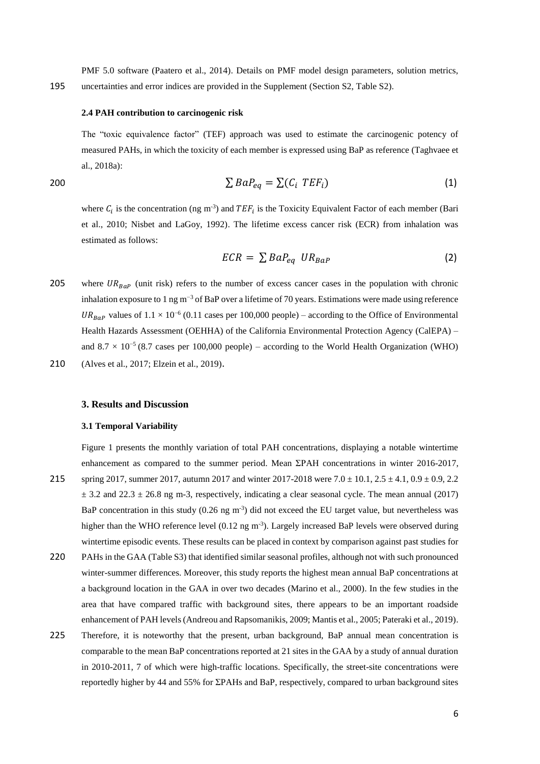PMF 5.0 software (Paatero et al., 2014). Details on PMF model design parameters, solution metrics, 195 uncertainties and error indices are provided in the Supplement (Section S2, Table S2).

#### **2.4 PAH contribution to carcinogenic risk**

The "toxic equivalence factor" (TEF) approach was used to estimate the carcinogenic potency of measured PAHs, in which the toxicity of each member is expressed using BaP as reference (Taghvaee et al., 2018a):

$$
\sum BaP_{eq} = \sum (C_i \, TEF_i) \tag{1}
$$

where  $C_i$  is the concentration (ng m<sup>-3</sup>) and  $TEF_i$  is the Toxicity Equivalent Factor of each member (Bari et al., 2010; Nisbet and LaGoy, 1992). The lifetime excess cancer risk (ECR) from inhalation was estimated as follows:

$$
ECR = \sum BaP_{eq} \; UR_{BaP} \tag{2}
$$

- 205 where  $UR_{B_{R}p}$  (unit risk) refers to the number of excess cancer cases in the population with chronic inhalation exposure to 1 ng m−3 of BaP over a lifetime of 70 years. Estimations were made using reference UR<sub>BaP</sub> values of  $1.1 \times 10^{-6}$  (0.11 cases per 100,000 people) – according to the Office of Environmental Health Hazards Assessment (OEHHA) of the California Environmental Protection Agency (CalEPA) – and  $8.7 \times 10^{-5}$  (8.7 cases per 100,000 people) – according to the World Health Organization (WHO)
- 210 (Alves et al., 2017; Elzein et al., 2019).

# **3. Results and Discussion**

## **3.1 Temporal Variability**

Figure 1 presents the monthly variation of total PAH concentrations, displaying a notable wintertime enhancement as compared to the summer period. Mean ΣPAH concentrations in winter 2016-2017, 215 spring 2017, summer 2017, autumn 2017 and winter 2017-2018 were  $7.0 \pm 10.1$ ,  $2.5 \pm 4.1$ ,  $0.9 \pm 0.9$ ,  $2.2$  $\pm$  3.2 and 22.3  $\pm$  26.8 ng m-3, respectively, indicating a clear seasonal cycle. The mean annual (2017) BaP concentration in this study  $(0.26 \text{ ng m}^{-3})$  did not exceed the EU target value, but nevertheless was higher than the WHO reference level (0.12 ng m<sup>-3</sup>). Largely increased BaP levels were observed during wintertime episodic events. These results can be placed in context by comparison against past studies for

- 220 PAHs in the GAA (Table S3) that identified similar seasonal profiles, although not with such pronounced winter-summer differences. Moreover, this study reports the highest mean annual BaP concentrations at a background location in the GAA in over two decades (Marino et al., 2000). In the few studies in the area that have compared traffic with background sites, there appears to be an important roadside enhancement of PAH levels (Andreou and Rapsomanikis, 2009; Mantis et al., 2005; Pateraki et al., 2019).
- 225 Therefore, it is noteworthy that the present, urban background, BaP annual mean concentration is comparable to the mean BaP concentrations reported at 21 sites in the GAA by a study of annual duration in 2010-2011, 7 of which were high-traffic locations. Specifically, the street-site concentrations were reportedly higher by 44 and 55% for ΣPAHs and BaP, respectively, compared to urban background sites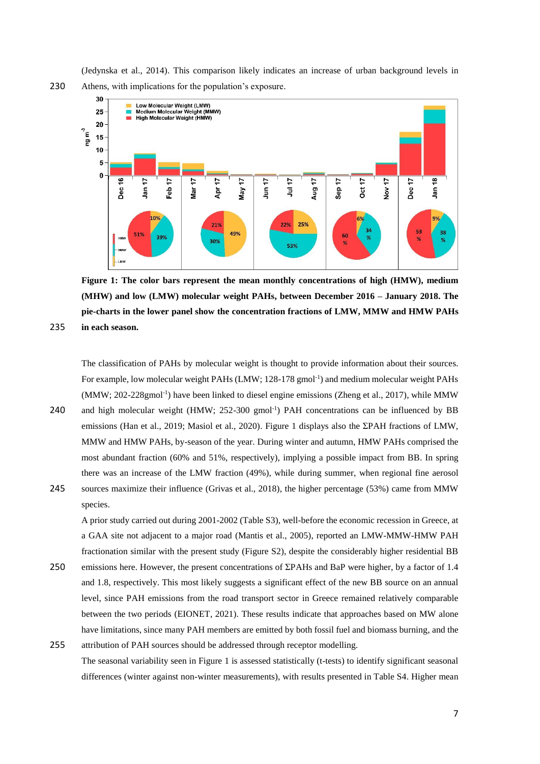(Jedynska et al., 2014). This comparison likely indicates an increase of urban background levels in 230 Athens, with implications for the population's exposure.



**Figure 1: The color bars represent the mean monthly concentrations of high (HMW), medium (MHW) and low (LMW) molecular weight PAHs, between December 2016 – January 2018. The pie-charts in the lower panel show the concentration fractions of LMW, MMW and HMW PAHs**  235 **in each season.**

The classification of PAHs by molecular weight is thought to provide information about their sources. For example, low molecular weight PAHs (LMW; 128-178 gmol<sup>-1</sup>) and medium molecular weight PAHs (MMW; 202-228gmol<sup>-1</sup>) have been linked to diesel engine emissions (Zheng et al., 2017), while MMW

- 240 and high molecular weight (HMW; 252-300 gmol<sup>-1</sup>) PAH concentrations can be influenced by BB emissions (Han et al., 2019; Masiol et al., 2020). Figure 1 displays also the ΣPAH fractions of LMW, MMW and HMW PAHs, by-season of the year. During winter and autumn, HMW PAHs comprised the most abundant fraction (60% and 51%, respectively), implying a possible impact from BB. In spring there was an increase of the LMW fraction (49%), while during summer, when regional fine aerosol
- 245 sources maximize their influence (Grivas et al., 2018), the higher percentage (53%) came from MMW species.

A prior study carried out during 2001-2002 (Table S3), well-before the economic recession in Greece, at a GAA site not adjacent to a major road (Mantis et al., 2005), reported an LMW-MMW-HMW PAH fractionation similar with the present study (Figure S2), despite the considerably higher residential BB

- 250 emissions here. However, the present concentrations of ΣPAHs and BaP were higher, by a factor of 1.4 and 1.8, respectively. This most likely suggests a significant effect of the new BB source on an annual level, since PAH emissions from the road transport sector in Greece remained relatively comparable between the two periods (EIONET, 2021). These results indicate that approaches based on MW alone have limitations, since many PAH members are emitted by both fossil fuel and biomass burning, and the
- 255 attribution of PAH sources should be addressed through receptor modelling. The seasonal variability seen in Figure 1 is assessed statistically (t-tests) to identify significant seasonal differences (winter against non-winter measurements), with results presented in Table S4. Higher mean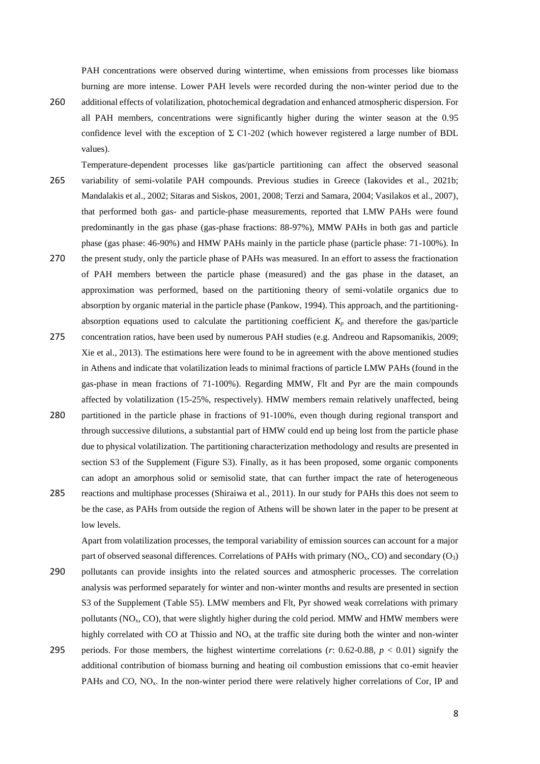PAH concentrations were observed during wintertime, when emissions from processes like biomass burning are more intense. Lower PAH levels were recorded during the non-winter period due to the

- 260 additional effects of volatilization, photochemical degradation and enhanced atmospheric dispersion. For all PAH members, concentrations were significantly higher during the winter season at the 0.95 confidence level with the exception of  $\Sigma$  C1-202 (which however registered a large number of BDL values).
- Temperature-dependent processes like gas/particle partitioning can affect the observed seasonal 265 variability of semi-volatile PAH compounds. Previous studies in Greece (Iakovides et al., 2021b; Mandalakis et al., 2002; Sitaras and Siskos, 2001, 2008; Terzi and Samara, 2004; Vasilakos et al., 2007), that performed both gas- and particle-phase measurements, reported that LMW PAHs were found predominantly in the gas phase (gas-phase fractions: 88-97%), MMW PAHs in both gas and particle phase (gas phase: 46-90%) and HMW PAHs mainly in the particle phase (particle phase: 71-100%). In
- 270 the present study, only the particle phase of PAHs was measured. In an effort to assess the fractionation of PAH members between the particle phase (measured) and the gas phase in the dataset, an approximation was performed, based on the partitioning theory of semi-volatile organics due to absorption by organic material in the particle phase (Pankow, 1994). This approach, and the partitioningabsorption equations used to calculate the partitioning coefficient  $K_p$  and therefore the gas/particle
- 275 concentration ratios, have been used by numerous PAH studies (e.g. Andreou and Rapsomanikis, 2009; Xie et al., 2013). The estimations here were found to be in agreement with the above mentioned studies in Athens and indicate that volatilization leads to minimal fractions of particle LMW PAHs (found in the gas-phase in mean fractions of 71-100%). Regarding MMW, Flt and Pyr are the main compounds affected by volatilization (15-25%, respectively). HMW members remain relatively unaffected, being
- 280 partitioned in the particle phase in fractions of 91-100%, even though during regional transport and through successive dilutions, a substantial part of HMW could end up being lost from the particle phase due to physical volatilization. The partitioning characterization methodology and results are presented in section S3 of the Supplement (Figure S3). Finally, as it has been proposed, some organic components can adopt an amorphous solid or semisolid state, that can further impact the rate of heterogeneous
- 285 reactions and multiphase processes (Shiraiwa et al., 2011). In our study for PAHs this does not seem to be the case, as PAHs from outside the region of Athens will be shown later in the paper to be present at low levels.

Apart from volatilization processes, the temporal variability of emission sources can account for a major part of observed seasonal differences. Correlations of PAHs with primary (NO<sub>x</sub>, CO) and secondary (O<sub>3</sub>)

290 pollutants can provide insights into the related sources and atmospheric processes. The correlation analysis was performed separately for winter and non-winter months and results are presented in section S3 of the Supplement (Table S5). LMW members and Flt, Pyr showed weak correlations with primary pollutants ( $NO<sub>x</sub>$ ,  $CO$ ), that were slightly higher during the cold period. MMW and HMW members were highly correlated with CO at Thissio and  $NO<sub>x</sub>$  at the traffic site during both the winter and non-winter 295 periods. For those members, the highest wintertime correlations (*r*: 0.62-0.88, *p* < 0.01) signify the additional contribution of biomass burning and heating oil combustion emissions that co-emit heavier PAHs and CO,  $NO<sub>x</sub>$ . In the non-winter period there were relatively higher correlations of Cor, IP and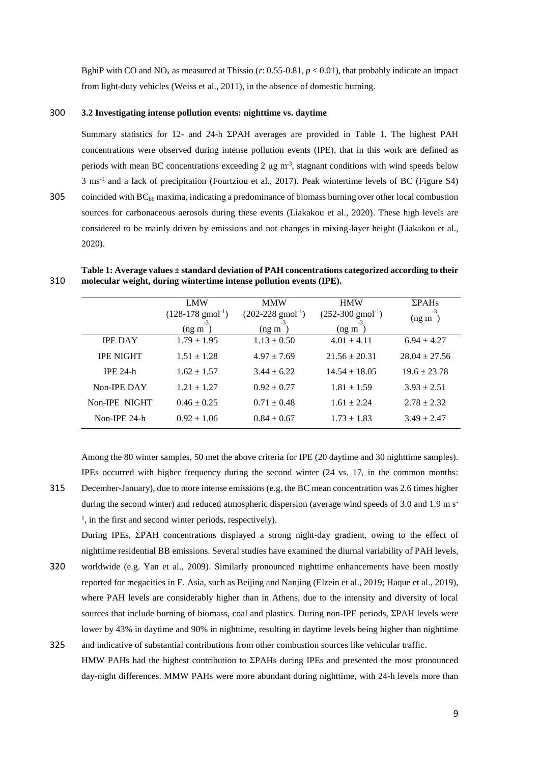BghiP with CO and NO<sub>x</sub> as measured at Thissio (*r*: 0.55-0.81,  $p < 0.01$ ), that probably indicate an impact from light-duty vehicles (Weiss et al., 2011), in the absence of domestic burning.

## 300 **3.2 Investigating intense pollution events: nighttime vs. daytime**

Summary statistics for 12- and 24-h ΣPAH averages are provided in Table 1. The highest PAH concentrations were observed during intense pollution events (IPE), that in this work are defined as periods with mean BC concentrations exceeding  $2 \mu g$  m<sup>-3</sup>, stagnant conditions with wind speeds below 3 ms-1 and a lack of precipitation (Fourtziou et al., 2017). Peak wintertime levels of BC (Figure S4)

305 coincided with  $BC_{bb}$  maxima, indicating a predominance of biomass burning over other local combustion sources for carbonaceous aerosols during these events (Liakakou et al., 2020). These high levels are considered to be mainly driven by emissions and not changes in mixing-layer height (Liakakou et al., 2020).

|                  | <b>LMW</b>                                  | <b>MMW</b>                                  | <b>HMW</b>                                  | $\Sigma$ PAHs      |
|------------------|---------------------------------------------|---------------------------------------------|---------------------------------------------|--------------------|
|                  | $(128-178 \text{ g} \text{mol}^{-1})$<br>-3 | $(202-228 \text{ g} \text{mol}^{-1})$<br>-3 | $(252-300 \text{ g} \text{mol}^{-1})$<br>-3 | -3<br>$($ ng m $)$ |
|                  | $($ ng m                                    | $($ ng m                                    | $($ ng m                                    |                    |
| <b>IPE DAY</b>   | $1.79 \pm 1.95$                             | $1.13 \pm 0.50$                             | $4.01 \pm 4.11$                             | $6.94 \pm 4.27$    |
| <b>IPE NIGHT</b> | $1.51 \pm 1.28$                             | $4.97 \pm 7.69$                             | $21.56 \pm 20.31$                           | $28.04 \pm 27.56$  |
| $IPE 24-h$       | $1.62 \pm 1.57$                             | $3.44 \pm 6.22$                             | $14.54 \pm 18.05$                           | $19.6 \pm 23.78$   |
| Non-IPE DAY      | $1.21 \pm 1.27$                             | $0.92 \pm 0.77$                             | $1.81 \pm 1.59$                             | $3.93 \pm 2.51$    |
| Non-IPE NIGHT    | $0.46 \pm 0.25$                             | $0.71 \pm 0.48$                             | $1.61 + 2.24$                               | $2.78 \pm 2.32$    |
| Non-IPE 24-h     | $0.92 \pm 1.06$                             | $0.84 \pm 0.67$                             | $1.73 \pm 1.83$                             | $3.49 \pm 2.47$    |

**Table 1: Average values ± standard deviation of PAH concentrations categorized according to their**  310 **molecular weight, during wintertime intense pollution events (IPE).**

Among the 80 winter samples, 50 met the above criteria for IPE (20 daytime and 30 nighttime samples). IPEs occurred with higher frequency during the second winter (24 vs. 17, in the common months: 315 December-January), due to more intense emissions (e.g. the BC mean concentration was 2.6 times higher

during the second winter) and reduced atmospheric dispersion (average wind speeds of 3.0 and 1.9 m s<sup>-</sup> <sup>1</sup>, in the first and second winter periods, respectively).

During IPEs, ΣPAH concentrations displayed a strong night-day gradient, owing to the effect of nighttime residential BB emissions. Several studies have examined the diurnal variability of PAH levels,

- 320 worldwide (e.g. Yan et al., 2009). Similarly pronounced nighttime enhancements have been mostly reported for megacities in E. Asia, such as Beijing and Nanjing (Elzein et al., 2019; Haque et al., 2019), where PAH levels are considerably higher than in Athens, due to the intensity and diversity of local sources that include burning of biomass, coal and plastics. During non-IPE periods, ΣPAH levels were lower by 43% in daytime and 90% in nighttime, resulting in daytime levels being higher than nighttime
- 325 and indicative of substantial contributions from other combustion sources like vehicular traffic. HMW PAHs had the highest contribution to ΣPAHs during IPEs and presented the most pronounced day-night differences. MMW PAHs were more abundant during nighttime, with 24-h levels more than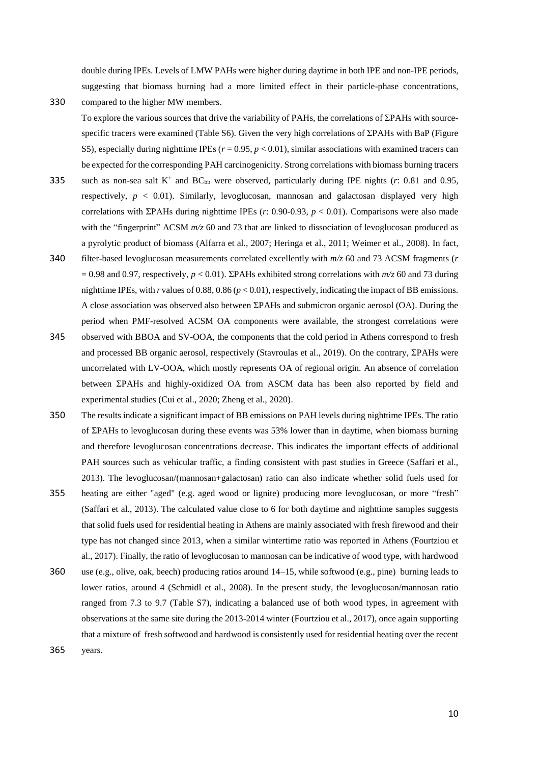double during IPEs. Levels of LMW PAHs were higher during daytime in both IPE and non-IPE periods, suggesting that biomass burning had a more limited effect in their particle-phase concentrations,

330 compared to the higher MW members.

To explore the various sources that drive the variability of PAHs, the correlations of ΣPAHs with sourcespecific tracers were examined (Table S6). Given the very high correlations of ΣPAHs with BaP (Figure S5), especially during nighttime IPEs (*r* = 0.95, *p* < 0.01), similar associations with examined tracers can be expected for the corresponding PAH carcinogenicity. Strong correlations with biomass burning tracers

- such as non-sea salt  $K^+$  and  $BC_{bb}$  were observed, particularly during IPE nights ( $r$ : 0.81 and 0.95, respectively, *p* < 0.01). Similarly, levoglucosan, mannosan and galactosan displayed very high correlations with ΣPAHs during nighttime IPEs (*r*: 0.90-0.93, *p* < 0.01). Comparisons were also made with the "fingerprint" ACSM  $m/z$  60 and 73 that are linked to dissociation of levoglucosan produced as a pyrolytic product of biomass (Alfarra et al., 2007; Heringa et al., 2011; Weimer et al., 2008). In fact,
- 340 filter-based levoglucosan measurements correlated excellently with *m/z* 60 and 73 ACSM fragments (*r*  $= 0.98$  and 0.97, respectively,  $p < 0.01$ ). ΣPAHs exhibited strong correlations with  $m/z$  60 and 73 during nighttime IPEs, with *r* values of 0.88, 0.86 (*p* < 0.01), respectively, indicating the impact of BB emissions. A close association was observed also between ΣPAHs and submicron organic aerosol (OA). During the period when PMF-resolved ACSM OA components were available, the strongest correlations were
- 345 observed with BBOA and SV-OOA, the components that the cold period in Athens correspond to fresh and processed BB organic aerosol, respectively (Stavroulas et al., 2019). On the contrary, ΣPAHs were uncorrelated with LV-OOA, which mostly represents OA of regional origin. An absence of correlation between ΣPAHs and highly-oxidized OA from ASCM data has been also reported by field and experimental studies (Cui et al., 2020; Zheng et al., 2020).
- 350 The results indicate a significant impact of BB emissions on PAH levels during nighttime IPEs. The ratio of ΣPAHs to levoglucosan during these events was 53% lower than in daytime, when biomass burning and therefore levoglucosan concentrations decrease. This indicates the important effects of additional PAH sources such as vehicular traffic, a finding consistent with past studies in Greece (Saffari et al., 2013). The levoglucosan/(mannosan+galactosan) ratio can also indicate whether solid fuels used for
- 355 heating are either "aged" (e.g. aged wood or lignite) producing more levoglucosan, or more "fresh" (Saffari et al., 2013). The calculated value close to 6 for both daytime and nighttime samples suggests that solid fuels used for residential heating in Athens are mainly associated with fresh firewood and their type has not changed since 2013, when a similar wintertime ratio was reported in Athens (Fourtziou et al., 2017). Finally, the ratio of levoglucosan to mannosan can be indicative of wood type, with hardwood
- 360 use (e.g., olive, oak, beech) producing ratios around 14–15, while softwood (e.g., pine) burning leads to lower ratios, around 4 (Schmidl et al., 2008). In the present study, the levoglucosan/mannosan ratio ranged from 7.3 tο 9.7 (Table S7), indicating a balanced use of both wood types, in agreement with observations at the same site during the 2013-2014 winter (Fourtziou et al., 2017), once again supporting that a mixture of fresh softwood and hardwood is consistently used for residential heating over the recent 365 years.

10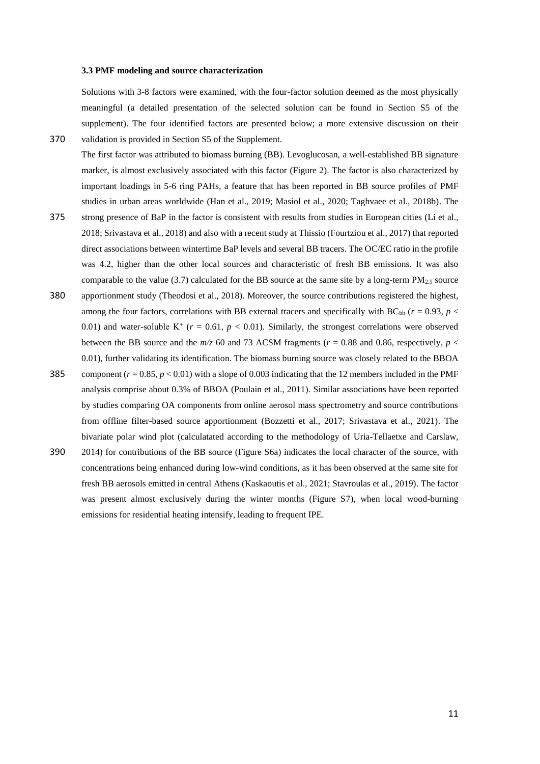#### **3.3 PMF modeling and source characterization**

Solutions with 3-8 factors were examined, with the four-factor solution deemed as the most physically meaningful (a detailed presentation of the selected solution can be found in Section S5 of the supplement). The four identified factors are presented below; a more extensive discussion on their 370 validation is provided in Section S5 of the Supplement.

- The first factor was attributed to biomass burning (BB). Levoglucosan, a well-established BB signature marker, is almost exclusively associated with this factor (Figure 2). The factor is also characterized by important loadings in 5-6 ring PAHs, a feature that has been reported in BB source profiles of PMF studies in urban areas worldwide (Han et al., 2019; Masiol et al., 2020; Taghvaee et al., 2018b). The
- 375 strong presence of BaP in the factor is consistent with results from studies in European cities (Li et al., 2018; Srivastava et al., 2018) and also with a recent study at Thissio (Fourtziou et al., 2017) that reported direct associations between wintertime BaP levels and several BB tracers. The OC/EC ratio in the profile was 4.2, higher than the other local sources and characteristic of fresh BB emissions. It was also comparable to the value (3.7) calculated for the BB source at the same site by a long-term  $PM_{2.5}$  source
- 380 apportionment study (Theodosi et al., 2018). Moreover, the source contributions registered the highest, among the four factors, correlations with BB external tracers and specifically with  $BC_{bb}$  ( $r = 0.93$ ,  $p <$ 0.01) and water-soluble  $K^+$  ( $r = 0.61$ ,  $p < 0.01$ ). Similarly, the strongest correlations were observed between the BB source and the  $m/z$  60 and 73 ACSM fragments ( $r = 0.88$  and 0.86, respectively,  $p <$ 0.01), further validating its identification. The biomass burning source was closely related to the BBOA
- 385 component  $(r = 0.85, p < 0.01)$  with a slope of 0.003 indicating that the 12 members included in the PMF analysis comprise about 0.3% of BBOA (Poulain et al., 2011). Similar associations have been reported by studies comparing OA components from online aerosol mass spectrometry and source contributions from offline filter-based source apportionment (Bozzetti et al., 2017; Srivastava et al., 2021). The bivariate polar wind plot (calculatated according to the methodology of Uria-Tellaetxe and Carslaw,
- 390 2014) for contributions of the BB source (Figure S6a) indicates the local character of the source, with concentrations being enhanced during low-wind conditions, as it has been observed at the same site for fresh BB aerosols emitted in central Athens (Kaskaoutis et al., 2021; Stavroulas et al., 2019). The factor was present almost exclusively during the winter months (Figure S7), when local wood-burning emissions for residential heating intensify, leading to frequent IPE.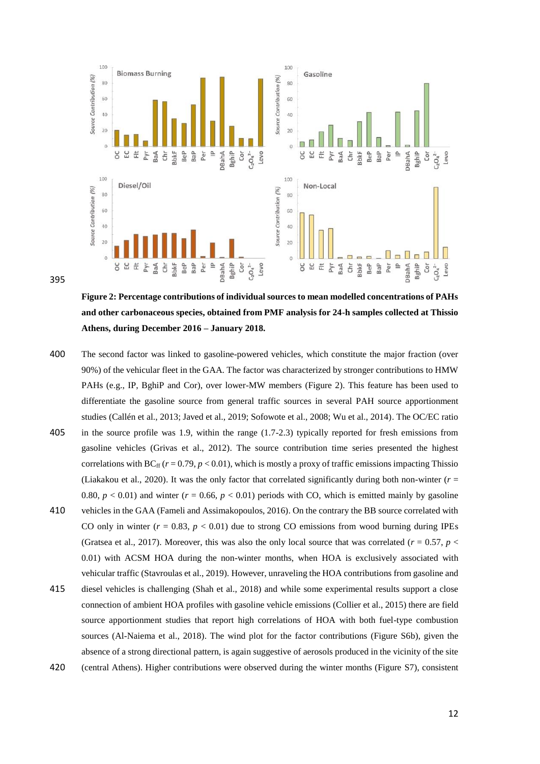

395

**Figure 2: Percentage contributions of individual sources to mean modelled concentrations of PAHs and other carbonaceous species, obtained from PMF analysis for 24-h samples collected at Thissio Athens, during December 2016 – January 2018.**

- 400 The second factor was linked to gasoline-powered vehicles, which constitute the major fraction (over 90%) of the vehicular fleet in the GAA. The factor was characterized by stronger contributions to HMW PAHs (e.g., IP, BghiP and Cor), over lower-MW members (Figure 2). This feature has been used to differentiate the gasoline source from general traffic sources in several PAH source apportionment studies (Callén et al., 2013; Javed et al., 2019; Sofowote et al., 2008; Wu et al., 2014). The OC/EC ratio
- 405 in the source profile was 1.9, within the range (1.7-2.3) typically reported for fresh emissions from gasoline vehicles (Grivas et al., 2012). The source contribution time series presented the highest correlations with BC<sub>ff</sub> ( $r = 0.79$ ,  $p < 0.01$ ), which is mostly a proxy of traffic emissions impacting Thissio (Liakakou et al., 2020). It was the only factor that correlated significantly during both non-winter (*r* = 0.80,  $p < 0.01$ ) and winter ( $r = 0.66$ ,  $p < 0.01$ ) periods with CO, which is emitted mainly by gasoline
- 410 vehicles in the GAA (Fameli and Assimakopoulos, 2016). On the contrary the BB source correlated with CO only in winter  $(r = 0.83, p < 0.01)$  due to strong CO emissions from wood burning during IPEs (Gratsea et al., 2017). Moreover, this was also the only local source that was correlated ( $r = 0.57$ ,  $p <$ 0.01) with ACSM HOA during the non-winter months, when HOA is exclusively associated with vehicular traffic (Stavroulas et al., 2019). However, unraveling the HOA contributions from gasoline and
- 415 diesel vehicles is challenging (Shah et al., 2018) and while some experimental results support a close connection of ambient HOA profiles with gasoline vehicle emissions (Collier et al., 2015) there are field source apportionment studies that report high correlations of HOA with both fuel-type combustion sources (Al-Naiema et al., 2018). The wind plot for the factor contributions (Figure S6b), given the absence of a strong directional pattern, is again suggestive of aerosols produced in the vicinity of the site
- 420 (central Athens). Higher contributions were observed during the winter months (Figure S7), consistent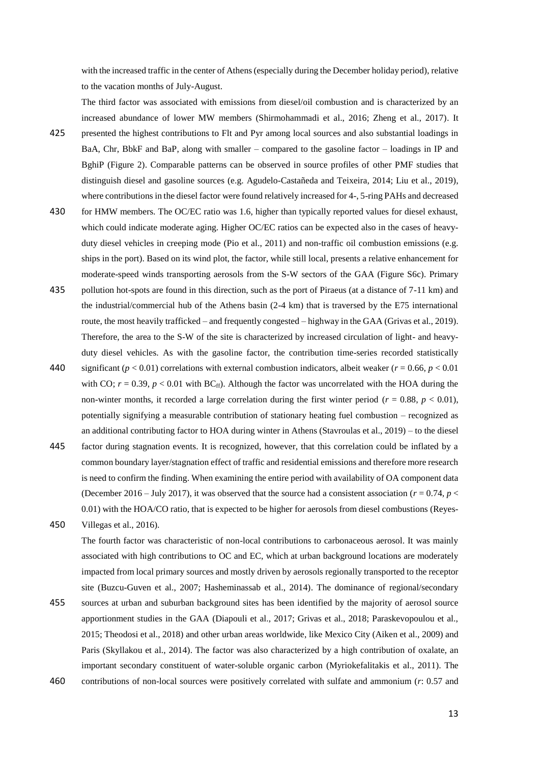with the increased traffic in the center of Athens (especially during the December holiday period), relative to the vacation months of July-August.

The third factor was associated with emissions from diesel/oil combustion and is characterized by an increased abundance of lower MW members (Shirmohammadi et al., 2016; Zheng et al., 2017). It

- 425 presented the highest contributions to Flt and Pyr among local sources and also substantial loadings in BaA, Chr, BbkF and BaP, along with smaller – compared to the gasoline factor – loadings in IP and BghiP (Figure 2). Comparable patterns can be observed in source profiles of other PMF studies that distinguish diesel and gasoline sources (e.g. Agudelo-Castañeda and Teixeira, 2014; Liu et al., 2019), where contributions in the diesel factor were found relatively increased for 4-, 5-ring PAHs and decreased
- 430 for HMW members. The OC/EC ratio was 1.6, higher than typically reported values for diesel exhaust, which could indicate moderate aging. Higher OC/EC ratios can be expected also in the cases of heavyduty diesel vehicles in creeping mode (Pio et al., 2011) and non-traffic oil combustion emissions (e.g. ships in the port). Based on its wind plot, the factor, while still local, presents a relative enhancement for moderate-speed winds transporting aerosols from the S-W sectors of the GAA (Figure S6c). Primary
- 435 pollution hot-spots are found in this direction, such as the port of Piraeus (at a distance of 7-11 km) and the industrial/commercial hub of the Athens basin (2-4 km) that is traversed by the E75 international route, the most heavily trafficked – and frequently congested – highway in the GAA (Grivas et al., 2019). Therefore, the area to the S-W of the site is characterized by increased circulation of light- and heavyduty diesel vehicles. As with the gasoline factor, the contribution time-series recorded statistically
- 440 significant ( $p < 0.01$ ) correlations with external combustion indicators, albeit weaker ( $r = 0.66$ ,  $p < 0.01$ ) with CO;  $r = 0.39$ ,  $p < 0.01$  with BC<sub>ff</sub>). Although the factor was uncorrelated with the HOA during the non-winter months, it recorded a large correlation during the first winter period ( $r = 0.88$ ,  $p < 0.01$ ), potentially signifying a measurable contribution of stationary heating fuel combustion – recognized as an additional contributing factor to HOA during winter in Athens (Stavroulas et al., 2019) – to the diesel
- 445 factor during stagnation events. It is recognized, however, that this correlation could be inflated by a common boundary layer/stagnation effect of traffic and residential emissions and therefore more research is need to confirm the finding. When examining the entire period with availability of OA component data (December 2016 – July 2017), it was observed that the source had a consistent association ( $r = 0.74$ ,  $p <$ 0.01) with the HOA/CO ratio, that is expected to be higher for aerosols from diesel combustions (Reyes-
- 450 Villegas et al., 2016). The fourth factor was characteristic of non-local contributions to carbonaceous aerosol. It was mainly associated with high contributions to OC and EC, which at urban background locations are moderately impacted from local primary sources and mostly driven by aerosols regionally transported to the receptor site (Buzcu-Guven et al., 2007; Hasheminassab et al., 2014). The dominance of regional/secondary
- 455 sources at urban and suburban background sites has been identified by the majority of aerosol source apportionment studies in the GAA (Diapouli et al., 2017; Grivas et al., 2018; Paraskevopoulou et al., 2015; Theodosi et al., 2018) and other urban areas worldwide, like Mexico City (Aiken et al., 2009) and Paris (Skyllakou et al., 2014). The factor was also characterized by a high contribution of oxalate, an important secondary constituent of water-soluble organic carbon (Myriokefalitakis et al., 2011). The
- 460 contributions of non-local sources were positively correlated with sulfate and ammonium (*r*: 0.57 and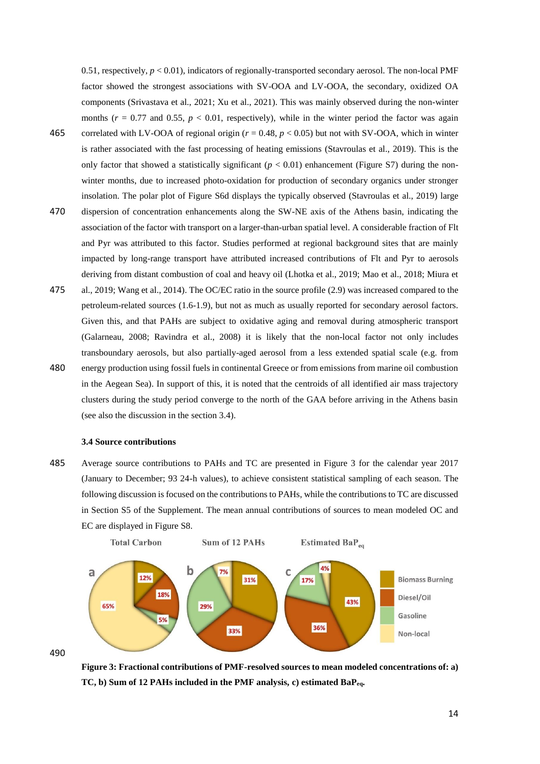0.51, respectively, *p* < 0.01), indicators of regionally-transported secondary aerosol. The non-local PMF factor showed the strongest associations with SV-OOA and LV-OOA, the secondary, oxidized OA components (Srivastava et al., 2021; Xu et al., 2021). This was mainly observed during the non-winter months  $(r = 0.77$  and  $0.55$ ,  $p < 0.01$ , respectively), while in the winter period the factor was again

- 465 correlated with LV-OOA of regional origin (*r* = 0.48, *p* < 0.05) but not with SV-OOA, which in winter is rather associated with the fast processing of heating emissions (Stavroulas et al., 2019). This is the only factor that showed a statistically significant  $(p < 0.01)$  enhancement (Figure S7) during the nonwinter months, due to increased photo-oxidation for production of secondary organics under stronger insolation. The polar plot of Figure S6d displays the typically observed (Stavroulas et al., 2019) large
- 470 dispersion of concentration enhancements along the SW-NE axis of the Athens basin, indicating the association of the factor with transport on a larger-than-urban spatial level. A considerable fraction of Flt and Pyr was attributed to this factor. Studies performed at regional background sites that are mainly impacted by long-range transport have attributed increased contributions of Flt and Pyr to aerosols deriving from distant combustion of coal and heavy oil (Lhotka et al., 2019; Mao et al., 2018; Miura et
- 475 al., 2019; Wang et al., 2014). The OC/EC ratio in the source profile (2.9) was increased compared to the petroleum-related sources (1.6-1.9), but not as much as usually reported for secondary aerosol factors. Given this, and that PAHs are subject to oxidative aging and removal during atmospheric transport (Galarneau, 2008; Ravindra et al., 2008) it is likely that the non-local factor not only includes transboundary aerosols, but also partially-aged aerosol from a less extended spatial scale (e.g. from 480 energy production using fossil fuels in continental Greece or from emissions from marine oil combustion in the Aegean Sea). In support of this, it is noted that the centroids of all identified air mass trajectory
	- clusters during the study period converge to the north of the GAA before arriving in the Athens basin (see also the discussion in the section 3.4).

## **3.4 Source contributions**

485 Average source contributions to PAHs and TC are presented in Figure 3 for the calendar year 2017 (January to December; 93 24-h values), to achieve consistent statistical sampling of each season. The following discussion is focused on the contributions to PAHs, while the contributions to TC are discussed in Section S5 of the Supplement. The mean annual contributions of sources to mean modeled OC and EC are displayed in Figure S8.





490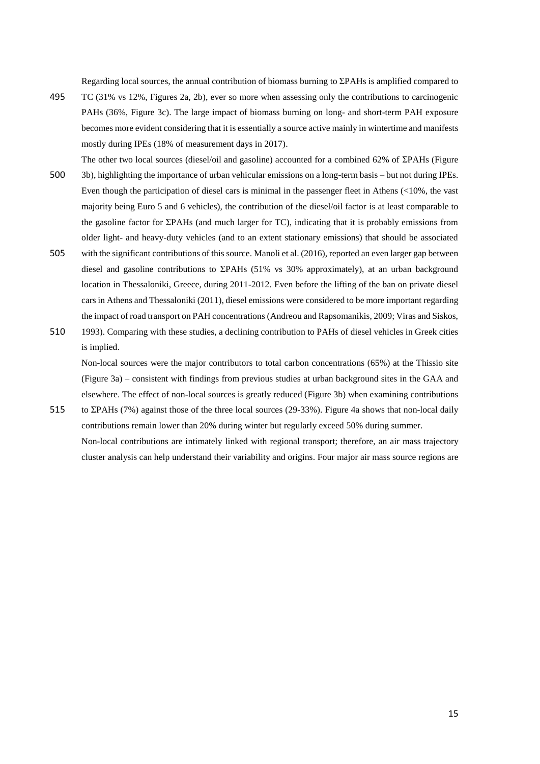Regarding local sources, the annual contribution of biomass burning to ΣPAHs is amplified compared to

The other two local sources (diesel/oil and gasoline) accounted for a combined 62% of ΣPAHs (Figure

- 495 TC (31% vs 12%, Figures 2a, 2b), ever so more when assessing only the contributions to carcinogenic PAHs (36%, Figure 3c). The large impact of biomass burning on long- and short-term PAH exposure becomes more evident considering that it is essentially a source active mainly in wintertime and manifests mostly during IPEs (18% of measurement days in 2017).
- 500 3b), highlighting the importance of urban vehicular emissions on a long-term basis but not during IPEs. Even though the participation of diesel cars is minimal in the passenger fleet in Athens (<10%, the vast majority being Euro 5 and 6 vehicles), the contribution of the diesel/oil factor is at least comparable to the gasoline factor for ΣPAHs (and much larger for TC), indicating that it is probably emissions from older light- and heavy-duty vehicles (and to an extent stationary emissions) that should be associated
- 505 with the significant contributions of this source. Manoli et al. (2016), reported an even larger gap between diesel and gasoline contributions to ΣPAHs (51% vs 30% approximately), at an urban background location in Thessaloniki, Greece, during 2011-2012. Even before the lifting of the ban on private diesel cars in Athens and Thessaloniki (2011), diesel emissions were considered to be more important regarding the impact of road transport on PAH concentrations (Andreou and Rapsomanikis, 2009; Viras and Siskos,
- 510 1993). Comparing with these studies, a declining contribution to PAHs of diesel vehicles in Greek cities is implied.

Non-local sources were the major contributors to total carbon concentrations (65%) at the Thissio site (Figure 3a) – consistent with findings from previous studies at urban background sites in the GAA and elsewhere. The effect of non-local sources is greatly reduced (Figure 3b) when examining contributions 515 to ΣPAHs (7%) against those of the three local sources (29-33%). Figure 4a shows that non-local daily

contributions remain lower than 20% during winter but regularly exceed 50% during summer. Non-local contributions are intimately linked with regional transport; therefore, an air mass trajectory cluster analysis can help understand their variability and origins. Four major air mass source regions are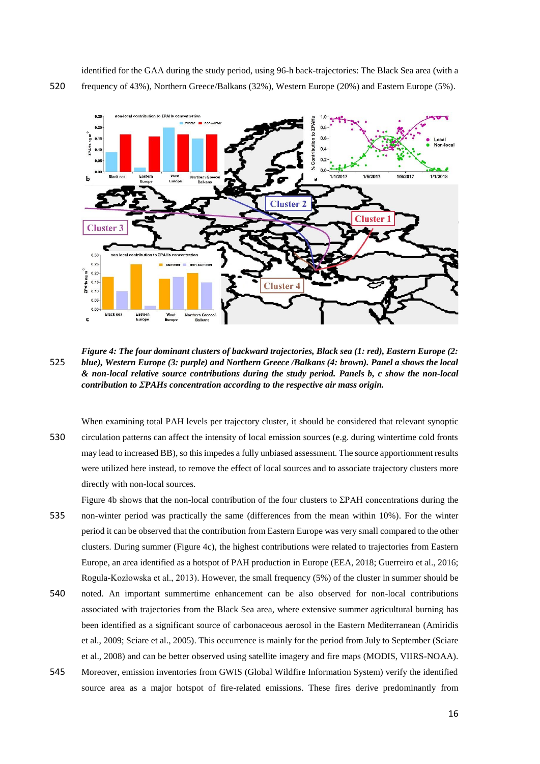identified for the GAA during the study period, using 96-h back-trajectories: The Black Sea area (with a 520 frequency of 43%), Northern Greece/Balkans (32%), Western Europe (20%) and Eastern Europe (5%).



*Figure 4: The four dominant clusters of backward trajectories, Black sea (1: red), Eastern Europe (2:*  525 *blue), Western Europe (3: purple) and Northern Greece /Balkans (4: brown). Panel a shows the local & non-local relative source contributions during the study period. Panels b, c show the non-local contribution to ΣPAHs concentration according to the respective air mass origin.* 

When examining total PAH levels per trajectory cluster, it should be considered that relevant synoptic 530 circulation patterns can affect the intensity of local emission sources (e.g. during wintertime cold fronts may lead to increased BB), so this impedes a fully unbiased assessment. The source apportionment results were utilized here instead, to remove the effect of local sources and to associate trajectory clusters more directly with non-local sources.

Figure 4b shows that the non-local contribution of the four clusters to  $\Sigma$ PAH concentrations during the 535 non-winter period was practically the same (differences from the mean within 10%). For the winter

- period it can be observed that the contribution from Eastern Europe was very small compared to the other clusters. During summer (Figure 4c), the highest contributions were related to trajectories from Eastern Europe, an area identified as a hotspot of PAH production in Europe (EEA, 2018; Guerreiro et al., 2016; Rogula-Kozłowska et al., 2013). However, the small frequency (5%) of the cluster in summer should be
- 540 noted. An important summertime enhancement can be also observed for non-local contributions associated with trajectories from the Black Sea area, where extensive summer agricultural burning has been identified as a significant source of carbonaceous aerosol in the Eastern Mediterranean (Amiridis et al., 2009; Sciare et al., 2005). This occurrence is mainly for the period from July to September (Sciare et al., 2008) and can be better observed using satellite imagery and fire maps (MODIS, VIIRS-NOAA).
- 545 Moreover, emission inventories from GWIS (Global Wildfire Information System) verify the identified source area as a major hotspot of fire-related emissions. These fires derive predominantly from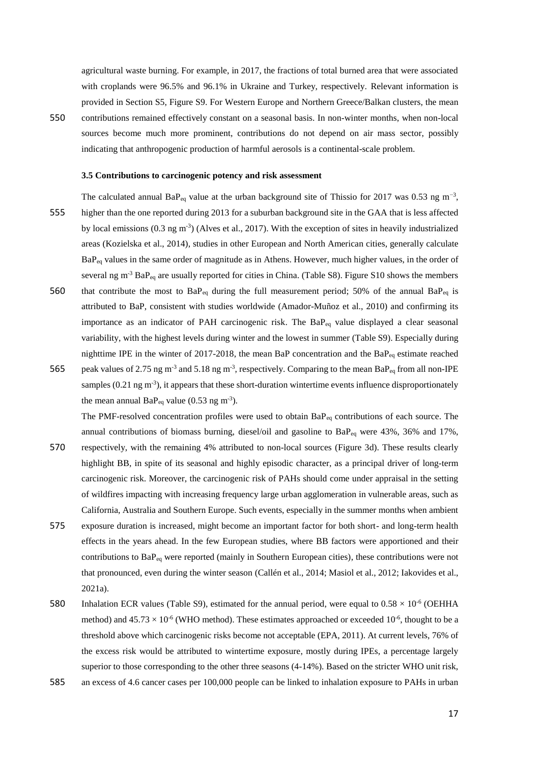agricultural waste burning. For example, in 2017, the fractions of total burned area that were associated with croplands were 96.5% and 96.1% in Ukraine and Turkey, respectively. Relevant information is provided in Section S5, Figure S9. For Western Europe and Northern Greece/Balkan clusters, the mean

550 contributions remained effectively constant on a seasonal basis. In non-winter months, when non-local sources become much more prominent, contributions do not depend on air mass sector, possibly indicating that anthropogenic production of harmful aerosols is a continental-scale problem.

### **3.5 Contributions to carcinogenic potency and risk assessment**

- The calculated annual BaP<sub>eq</sub> value at the urban background site of Thissio for 2017 was 0.53 ng m<sup>-3</sup>, 555 higher than the one reported during 2013 for a suburban background site in the GAA that is less affected by local emissions  $(0.3 \text{ ng m}^3)$  (Alves et al., 2017). With the exception of sites in heavily industrialized areas (Kozielska et al., 2014), studies in other European and North American cities, generally calculate BaPeq values in the same order of magnitude as in Athens. However, much higher values, in the order of several ng m<sup>-3</sup> BaP<sub>eq</sub> are usually reported for cities in China. (Table S8). Figure S10 shows the members 560 that contribute the most to  $BaP_{eq}$  during the full measurement period; 50% of the annual  $BaP_{eq}$  is
- attributed to BaP, consistent with studies worldwide (Amador-Muñoz et al., 2010) and confirming its importance as an indicator of PAH carcinogenic risk. The BaPeq value displayed a clear seasonal variability, with the highest levels during winter and the lowest in summer (Table S9). Especially during nighttime IPE in the winter of 2017-2018, the mean BaP concentration and the BaP<sub>eq</sub> estimate reached
- 565 peak values of 2.75 ng m<sup>-3</sup> and 5.18 ng m<sup>-3</sup>, respectively. Comparing to the mean BaP<sub>eq</sub> from all non-IPE samples  $(0.21 \text{ ng m}^3)$ , it appears that these short-duration wintertime events influence disproportionately the mean annual  $BaP_{eq}$  value (0.53 ng m<sup>-3</sup>).

The PMF-resolved concentration profiles were used to obtain BaPeq contributions of each source. The annual contributions of biomass burning, diesel/oil and gasoline to  $BaP_{eq}$  were 43%, 36% and 17%,

- 570 respectively, with the remaining 4% attributed to non-local sources (Figure 3d). These results clearly highlight BB, in spite of its seasonal and highly episodic character, as a principal driver of long-term carcinogenic risk. Moreover, the carcinogenic risk of PAHs should come under appraisal in the setting of wildfires impacting with increasing frequency large urban agglomeration in vulnerable areas, such as California, Australia and Southern Europe. Such events, especially in the summer months when ambient
- 575 exposure duration is increased, might become an important factor for both short- and long-term health effects in the years ahead. In the few European studies, where BB factors were apportioned and their contributions to BaP<sub>eq</sub> were reported (mainly in Southern European cities), these contributions were not that pronounced, even during the winter season (Callén et al., 2014; Masiol et al., 2012; Iakovides et al., 2021a).
- 580 Inhalation ECR values (Table S9), estimated for the annual period, were equal to  $0.58 \times 10^{-6}$  (OEHHA method) and  $45.73 \times 10^{-6}$  (WHO method). These estimates approached or exceeded  $10^{-6}$ , thought to be a threshold above which carcinogenic risks become not acceptable (EPA, 2011). At current levels, 76% of the excess risk would be attributed to wintertime exposure, mostly during IPEs, a percentage largely superior to those corresponding to the other three seasons (4-14%). Based on the stricter WHO unit risk,
- 585 an excess of 4.6 cancer cases per 100,000 people can be linked to inhalation exposure to PAHs in urban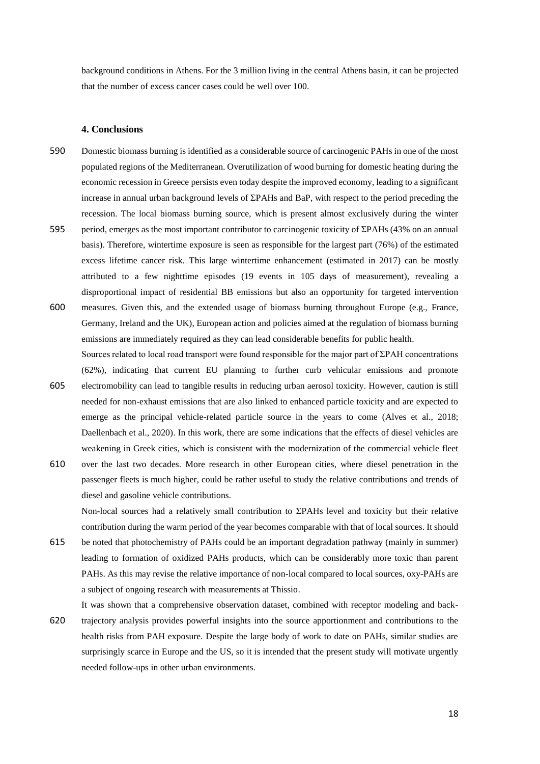background conditions in Athens. For the 3 million living in the central Athens basin, it can be projected that the number of excess cancer cases could be well over 100.

#### **4. Conclusions**

- 590 Domestic biomass burning is identified as a considerable source of carcinogenic PAHs in one of the most populated regions of the Mediterranean. Overutilization of wood burning for domestic heating during the economic recession in Greece persists even today despite the improved economy, leading to a significant increase in annual urban background levels of ΣPAHs and BaP, with respect to the period preceding the recession. The local biomass burning source, which is present almost exclusively during the winter
- 595 period, emerges as the most important contributor to carcinogenic toxicity of ΣPAHs (43% on an annual basis). Therefore, wintertime exposure is seen as responsible for the largest part (76%) of the estimated excess lifetime cancer risk. This large wintertime enhancement (estimated in 2017) can be mostly attributed to a few nighttime episodes (19 events in 105 days of measurement), revealing a disproportional impact of residential BB emissions but also an opportunity for targeted intervention
- 600 measures. Given this, and the extended usage of biomass burning throughout Europe (e.g., France, Germany, Ireland and the UK), European action and policies aimed at the regulation of biomass burning emissions are immediately required as they can lead considerable benefits for public health. Sources related to local road transport were found responsible for the major part of ΣPAH concentrations

(62%), indicating that current EU planning to further curb vehicular emissions and promote

- 605 electromobility can lead to tangible results in reducing urban aerosol toxicity. However, caution is still needed for non-exhaust emissions that are also linked to enhanced particle toxicity and are expected to emerge as the principal vehicle-related particle source in the years to come (Alves et al., 2018; Daellenbach et al., 2020). In this work, there are some indications that the effects of diesel vehicles are weakening in Greek cities, which is consistent with the modernization of the commercial vehicle fleet
- 610 over the last two decades. More research in other European cities, where diesel penetration in the passenger fleets is much higher, could be rather useful to study the relative contributions and trends of diesel and gasoline vehicle contributions.

Non-local sources had a relatively small contribution to ΣPAHs level and toxicity but their relative contribution during the warm period of the year becomes comparable with that of local sources. It should

615 be noted that photochemistry of PAHs could be an important degradation pathway (mainly in summer) leading to formation of oxidized PAHs products, which can be considerably more toxic than parent PAHs. As this may revise the relative importance of non-local compared to local sources, oxy-PAHs are a subject of ongoing research with measurements at Thissio.

It was shown that a comprehensive observation dataset, combined with receptor modeling and back-

620 trajectory analysis provides powerful insights into the source apportionment and contributions to the health risks from PAH exposure. Despite the large body of work to date on PAHs, similar studies are surprisingly scarce in Europe and the US, so it is intended that the present study will motivate urgently needed follow-ups in other urban environments.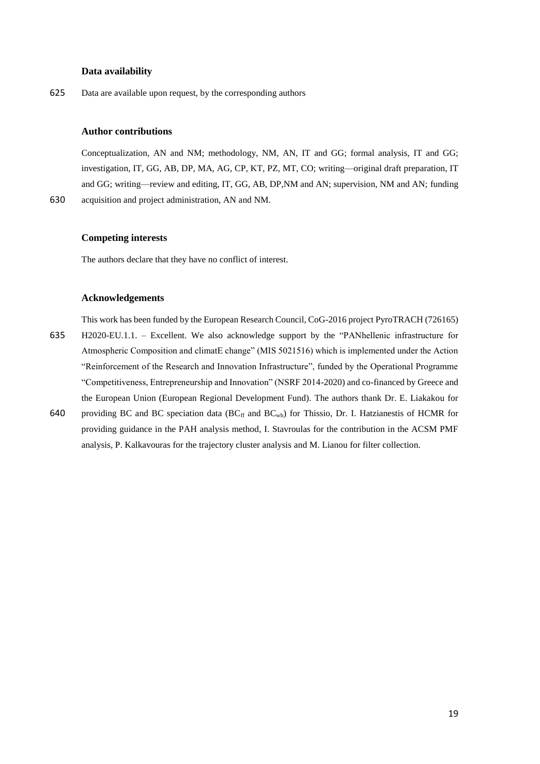# **Data availability**

625 Data are available upon request, by the corresponding authors

### **Author contributions**

Conceptualization, AN and NM; methodology, NM, AN, IT and GG; formal analysis, IT and GG; investigation, IT, GG, AB, DP, MA, AG, CP, KT, PZ, MT, CO; writing—original draft preparation, IT and GG; writing—review and editing, IT, GG, AB, DP,NM and AN; supervision, NM and AN; funding 630 acquisition and project administration, AN and NM.

# **Competing interests**

The authors declare that they have no conflict of interest.

#### **Acknowledgements**

This work has been funded by the European Research Council, CoG-2016 project PyroTRACH (726165) 635 H2020-EU.1.1. – Excellent. We also acknowledge support by the "PANhellenic infrastructure for Atmospheric Composition and climatE change" (MIS 5021516) which is implemented under the Action "Reinforcement of the Research and Innovation Infrastructure", funded by the Operational Programme "Competitiveness, Entrepreneurship and Innovation" (NSRF 2014-2020) and co-financed by Greece and the European Union (European Regional Development Fund). The authors thank Dr. E. Liakakou for

640 providing BC and BC speciation data (BC<sub>ff</sub> and BC<sub>wb</sub>) for Thissio, Dr. I. Hatzianestis of HCMR for providing guidance in the PAH analysis method, I. Stavroulas for the contribution in the ACSM PMF analysis, P. Kalkavouras for the trajectory cluster analysis and M. Lianou for filter collection.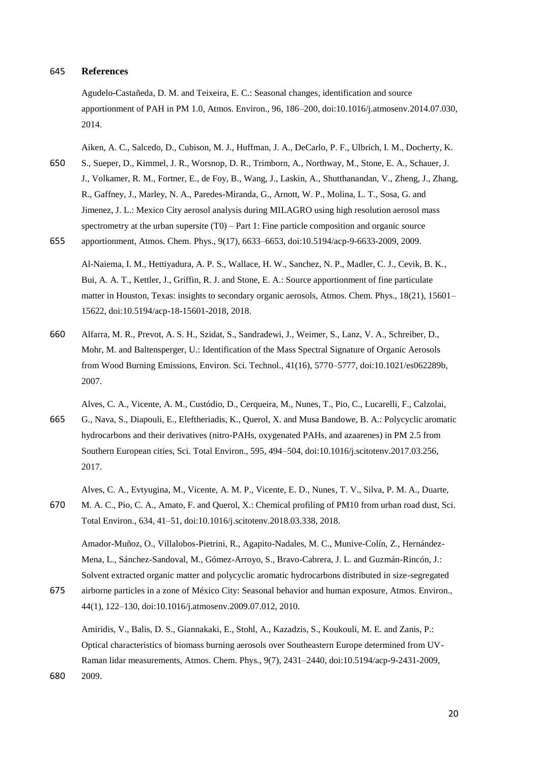#### 645 **References**

Agudelo-Castañeda, D. M. and Teixeira, E. C.: Seasonal changes, identification and source apportionment of PAH in PM 1.0, Atmos. Environ., 96, 186–200, doi:10.1016/j.atmosenv.2014.07.030, 2014.

Aiken, A. C., Salcedo, D., Cubison, M. J., Huffman, J. A., DeCarlo, P. F., Ulbrich, I. M., Docherty, K.

- 650 S., Sueper, D., Kimmel, J. R., Worsnop, D. R., Trimborn, A., Northway, M., Stone, E. A., Schauer, J. J., Volkamer, R. M., Fortner, E., de Foy, B., Wang, J., Laskin, A., Shutthanandan, V., Zheng, J., Zhang, R., Gaffney, J., Marley, N. A., Paredes-Miranda, G., Arnott, W. P., Molina, L. T., Sosa, G. and Jimenez, J. L.: Mexico City aerosol analysis during MILAGRO using high resolution aerosol mass spectrometry at the urban supersite (T0) – Part 1: Fine particle composition and organic source
- 655 apportionment, Atmos. Chem. Phys., 9(17), 6633–6653, doi:10.5194/acp-9-6633-2009, 2009.

Al-Naiema, I. M., Hettiyadura, A. P. S., Wallace, H. W., Sanchez, N. P., Madler, C. J., Cevik, B. K., Bui, A. A. T., Kettler, J., Griffin, R. J. and Stone, E. A.: Source apportionment of fine particulate matter in Houston, Texas: insights to secondary organic aerosols, Atmos. Chem. Phys., 18(21), 15601– 15622, doi:10.5194/acp-18-15601-2018, 2018.

660 Alfarra, M. R., Prevot, A. S. H., Szidat, S., Sandradewi, J., Weimer, S., Lanz, V. A., Schreiber, D., Mohr, M. and Baltensperger, U.: Identification of the Mass Spectral Signature of Organic Aerosols from Wood Burning Emissions, Environ. Sci. Technol., 41(16), 5770–5777, doi:10.1021/es062289b, 2007.

Alves, C. A., Vicente, A. M., Custódio, D., Cerqueira, M., Nunes, T., Pio, C., Lucarelli, F., Calzolai, 665 G., Nava, S., Diapouli, E., Eleftheriadis, K., Querol, X. and Musa Bandowe, B. A.: Polycyclic aromatic hydrocarbons and their derivatives (nitro-PAHs, oxygenated PAHs, and azaarenes) in PM 2.5 from Southern European cities, Sci. Total Environ., 595, 494–504, doi:10.1016/j.scitotenv.2017.03.256, 2017.

Alves, C. A., Evtyugina, M., Vicente, A. M. P., Vicente, E. D., Nunes, T. V., Silva, P. M. A., Duarte,

670 M. A. C., Pio, C. A., Amato, F. and Querol, X.: Chemical profiling of PM10 from urban road dust, Sci. Total Environ., 634, 41–51, doi:10.1016/j.scitotenv.2018.03.338, 2018.

Amador-Muñoz, O., Villalobos-Pietrini, R., Agapito-Nadales, M. C., Munive-Colín, Z., Hernández-Mena, L., Sánchez-Sandoval, M., Gómez-Arroyo, S., Bravo-Cabrera, J. L. and Guzmán-Rincón, J.: Solvent extracted organic matter and polycyclic aromatic hydrocarbons distributed in size-segregated

675 airborne particles in a zone of México City: Seasonal behavior and human exposure, Atmos. Environ., 44(1), 122–130, doi:10.1016/j.atmosenv.2009.07.012, 2010.

Amiridis, V., Balis, D. S., Giannakaki, E., Stohl, A., Kazadzis, S., Koukouli, M. E. and Zanis, P.: Optical characteristics of biomass burning aerosols over Southeastern Europe determined from UV-Raman lidar measurements, Atmos. Chem. Phys., 9(7), 2431–2440, doi:10.5194/acp-9-2431-2009, 680 2009.

20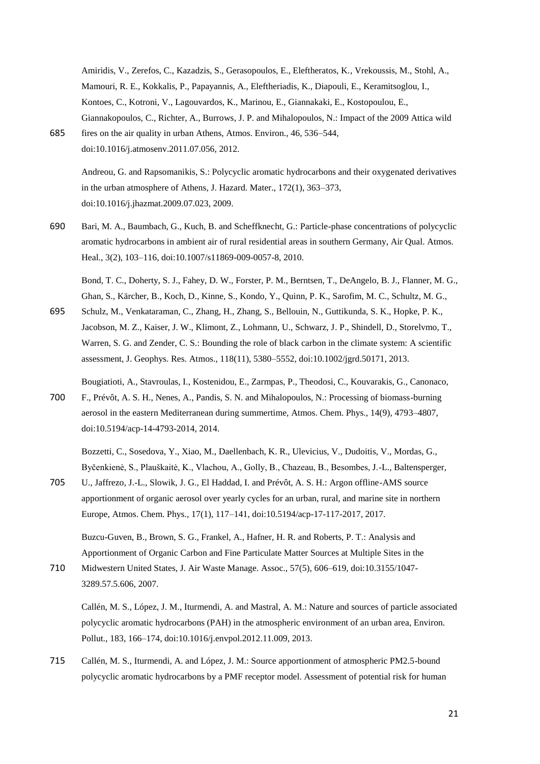Amiridis, V., Zerefos, C., Kazadzis, S., Gerasopoulos, E., Eleftheratos, K., Vrekoussis, M., Stohl, A., Mamouri, R. E., Kokkalis, P., Papayannis, A., Eleftheriadis, K., Diapouli, E., Keramitsoglou, I., Kontoes, C., Kotroni, V., Lagouvardos, K., Marinou, E., Giannakaki, E., Kostopoulou, E., Giannakopoulos, C., Richter, A., Burrows, J. P. and Mihalopoulos, N.: Impact of the 2009 Attica wild 685 fires on the air quality in urban Athens, Atmos. Environ., 46, 536–544,

doi:10.1016/j.atmosenv.2011.07.056, 2012.

Andreou, G. and Rapsomanikis, S.: Polycyclic aromatic hydrocarbons and their oxygenated derivatives in the urban atmosphere of Athens, J. Hazard. Mater., 172(1), 363–373, doi:10.1016/j.jhazmat.2009.07.023, 2009.

690 Bari, M. A., Baumbach, G., Kuch, B. and Scheffknecht, G.: Particle-phase concentrations of polycyclic aromatic hydrocarbons in ambient air of rural residential areas in southern Germany, Air Qual. Atmos. Heal., 3(2), 103–116, doi:10.1007/s11869-009-0057-8, 2010.

Bond, T. C., Doherty, S. J., Fahey, D. W., Forster, P. M., Berntsen, T., DeAngelo, B. J., Flanner, M. G., Ghan, S., Kärcher, B., Koch, D., Kinne, S., Kondo, Y., Quinn, P. K., Sarofim, M. C., Schultz, M. G.,

695 Schulz, M., Venkataraman, C., Zhang, H., Zhang, S., Bellouin, N., Guttikunda, S. K., Hopke, P. K., Jacobson, M. Z., Kaiser, J. W., Klimont, Z., Lohmann, U., Schwarz, J. P., Shindell, D., Storelvmo, T., Warren, S. G. and Zender, C. S.: Bounding the role of black carbon in the climate system: A scientific assessment, J. Geophys. Res. Atmos., 118(11), 5380–5552, doi:10.1002/jgrd.50171, 2013.

Bougiatioti, A., Stavroulas, I., Kostenidou, E., Zarmpas, P., Theodosi, C., Kouvarakis, G., Canonaco, 700 F., Prévôt, A. S. H., Nenes, A., Pandis, S. N. and Mihalopoulos, N.: Processing of biomass-burning aerosol in the eastern Mediterranean during summertime, Atmos. Chem. Phys., 14(9), 4793–4807, doi:10.5194/acp-14-4793-2014, 2014.

Bozzetti, C., Sosedova, Y., Xiao, M., Daellenbach, K. R., Ulevicius, V., Dudoitis, V., Mordas, G., Byčenkienė, S., Plauškaitė, K., Vlachou, A., Golly, B., Chazeau, B., Besombes, J.-L., Baltensperger,

705 U., Jaffrezo, J.-L., Slowik, J. G., El Haddad, I. and Prévôt, A. S. H.: Argon offline-AMS source apportionment of organic aerosol over yearly cycles for an urban, rural, and marine site in northern Europe, Atmos. Chem. Phys., 17(1), 117–141, doi:10.5194/acp-17-117-2017, 2017.

Buzcu-Guven, B., Brown, S. G., Frankel, A., Hafner, H. R. and Roberts, P. T.: Analysis and Apportionment of Organic Carbon and Fine Particulate Matter Sources at Multiple Sites in the

710 Midwestern United States, J. Air Waste Manage. Assoc., 57(5), 606–619, doi:10.3155/1047- 3289.57.5.606, 2007.

Callén, M. S., López, J. M., Iturmendi, A. and Mastral, A. M.: Nature and sources of particle associated polycyclic aromatic hydrocarbons (PAH) in the atmospheric environment of an urban area, Environ. Pollut., 183, 166–174, doi:10.1016/j.envpol.2012.11.009, 2013.

715 Callén, M. S., Iturmendi, A. and López, J. M.: Source apportionment of atmospheric PM2.5-bound polycyclic aromatic hydrocarbons by a PMF receptor model. Assessment of potential risk for human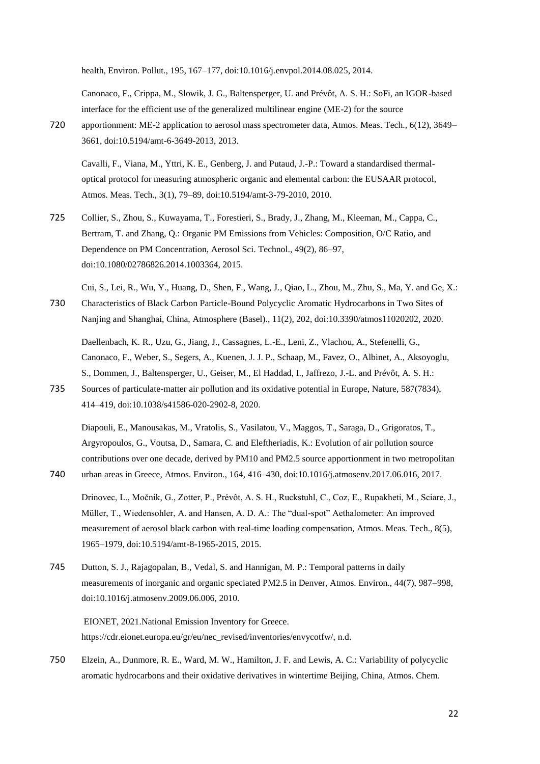health, Environ. Pollut., 195, 167–177, doi:10.1016/j.envpol.2014.08.025, 2014.

Canonaco, F., Crippa, M., Slowik, J. G., Baltensperger, U. and Prévôt, A. S. H.: SoFi, an IGOR-based interface for the efficient use of the generalized multilinear engine (ME-2) for the source

720 apportionment: ME-2 application to aerosol mass spectrometer data, Atmos. Meas. Tech., 6(12), 3649– 3661, doi:10.5194/amt-6-3649-2013, 2013.

Cavalli, F., Viana, M., Yttri, K. E., Genberg, J. and Putaud, J.-P.: Toward a standardised thermaloptical protocol for measuring atmospheric organic and elemental carbon: the EUSAAR protocol, Atmos. Meas. Tech., 3(1), 79–89, doi:10.5194/amt-3-79-2010, 2010.

725 Collier, S., Zhou, S., Kuwayama, T., Forestieri, S., Brady, J., Zhang, M., Kleeman, M., Cappa, C., Bertram, T. and Zhang, Q.: Organic PM Emissions from Vehicles: Composition, O/C Ratio, and Dependence on PM Concentration, Aerosol Sci. Technol., 49(2), 86–97, doi:10.1080/02786826.2014.1003364, 2015.

Cui, S., Lei, R., Wu, Y., Huang, D., Shen, F., Wang, J., Qiao, L., Zhou, M., Zhu, S., Ma, Y. and Ge, X.: 730 Characteristics of Black Carbon Particle-Bound Polycyclic Aromatic Hydrocarbons in Two Sites of Nanjing and Shanghai, China, Atmosphere (Basel)., 11(2), 202, doi:10.3390/atmos11020202, 2020.

Daellenbach, K. R., Uzu, G., Jiang, J., Cassagnes, L.-E., Leni, Z., Vlachou, A., Stefenelli, G., Canonaco, F., Weber, S., Segers, A., Kuenen, J. J. P., Schaap, M., Favez, O., Albinet, A., Aksoyoglu, S., Dommen, J., Baltensperger, U., Geiser, M., El Haddad, I., Jaffrezo, J.-L. and Prévôt, A. S. H.: 735 Sources of particulate-matter air pollution and its oxidative potential in Europe, Nature, 587(7834),

414–419, doi:10.1038/s41586-020-2902-8, 2020.

Diapouli, E., Manousakas, M., Vratolis, S., Vasilatou, V., Maggos, T., Saraga, D., Grigoratos, T., Argyropoulos, G., Voutsa, D., Samara, C. and Eleftheriadis, K.: Evolution of air pollution source contributions over one decade, derived by PM10 and PM2.5 source apportionment in two metropolitan 740 urban areas in Greece, Atmos. Environ., 164, 416–430, doi:10.1016/j.atmosenv.2017.06.016, 2017.

- Drinovec, L., Močnik, G., Zotter, P., Prévôt, A. S. H., Ruckstuhl, C., Coz, E., Rupakheti, M., Sciare, J., Müller, T., Wiedensohler, A. and Hansen, A. D. A.: The "dual-spot" Aethalometer: An improved measurement of aerosol black carbon with real-time loading compensation, Atmos. Meas. Tech., 8(5), 1965–1979, doi:10.5194/amt-8-1965-2015, 2015.
- 745 Dutton, S. J., Rajagopalan, B., Vedal, S. and Hannigan, M. P.: Temporal patterns in daily measurements of inorganic and organic speciated PM2.5 in Denver, Atmos. Environ., 44(7), 987–998, doi:10.1016/j.atmosenv.2009.06.006, 2010.

EIONET, 2021.National Emission Inventory for Greece. https://cdr.eionet.europa.eu/gr/eu/nec\_revised/inventories/envycotfw/, n.d.

750 Elzein, A., Dunmore, R. E., Ward, M. W., Hamilton, J. F. and Lewis, A. C.: Variability of polycyclic aromatic hydrocarbons and their oxidative derivatives in wintertime Beijing, China, Atmos. Chem.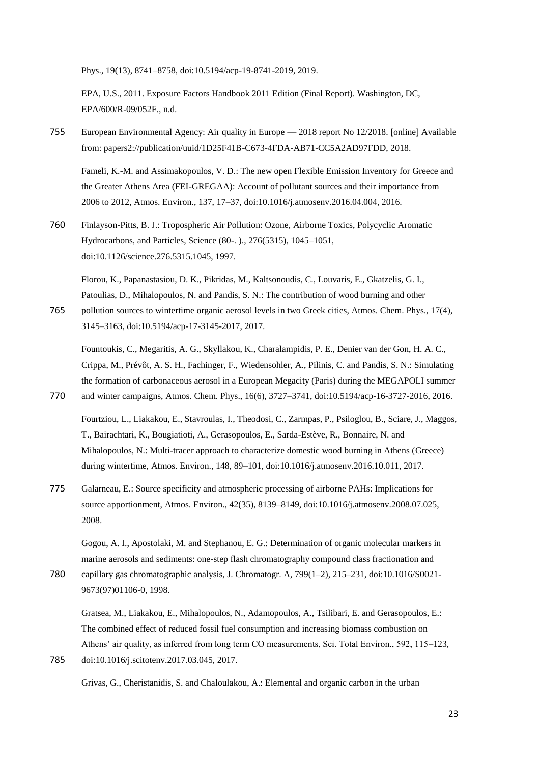Phys., 19(13), 8741–8758, doi:10.5194/acp-19-8741-2019, 2019.

EPA, U.S., 2011. Exposure Factors Handbook 2011 Edition (Final Report). Washington, DC, EPA/600/R-09/052F., n.d.

755 European Environmental Agency: Air quality in Europe — 2018 report No 12/2018. [online] Available from: papers2://publication/uuid/1D25F41B-C673-4FDA-AB71-CC5A2AD97FDD, 2018.

Fameli, K.-M. and Assimakopoulos, V. D.: The new open Flexible Emission Inventory for Greece and the Greater Athens Area (FEI-GREGAA): Account of pollutant sources and their importance from 2006 to 2012, Atmos. Environ., 137, 17–37, doi:10.1016/j.atmosenv.2016.04.004, 2016.

760 Finlayson-Pitts, B. J.: Tropospheric Air Pollution: Ozone, Airborne Toxics, Polycyclic Aromatic Hydrocarbons, and Particles, Science (80-. )., 276(5315), 1045–1051, doi:10.1126/science.276.5315.1045, 1997.

Florou, K., Papanastasiou, D. K., Pikridas, M., Kaltsonoudis, C., Louvaris, E., Gkatzelis, G. I., Patoulias, D., Mihalopoulos, N. and Pandis, S. N.: The contribution of wood burning and other

765 pollution sources to wintertime organic aerosol levels in two Greek cities, Atmos. Chem. Phys., 17(4), 3145–3163, doi:10.5194/acp-17-3145-2017, 2017.

Fountoukis, C., Megaritis, A. G., Skyllakou, K., Charalampidis, P. E., Denier van der Gon, H. A. C., Crippa, M., Prévôt, A. S. H., Fachinger, F., Wiedensohler, A., Pilinis, C. and Pandis, S. N.: Simulating the formation of carbonaceous aerosol in a European Megacity (Paris) during the MEGAPOLI summer 770 and winter campaigns, Atmos. Chem. Phys., 16(6), 3727–3741, doi:10.5194/acp-16-3727-2016, 2016.

Fourtziou, L., Liakakou, E., Stavroulas, I., Theodosi, C., Zarmpas, P., Psiloglou, B., Sciare, J., Maggos, T., Bairachtari, K., Bougiatioti, A., Gerasopoulos, E., Sarda-Estève, R., Bonnaire, N. and Mihalopoulos, N.: Multi-tracer approach to characterize domestic wood burning in Athens (Greece) during wintertime, Atmos. Environ., 148, 89–101, doi:10.1016/j.atmosenv.2016.10.011, 2017.

775 Galarneau, E.: Source specificity and atmospheric processing of airborne PAHs: Implications for source apportionment, Atmos. Environ., 42(35), 8139–8149, doi:10.1016/j.atmosenv.2008.07.025, 2008.

Gogou, A. I., Apostolaki, M. and Stephanou, E. G.: Determination of organic molecular markers in marine aerosols and sediments: one-step flash chromatography compound class fractionation and

780 capillary gas chromatographic analysis, J. Chromatogr. A, 799(1–2), 215–231, doi:10.1016/S0021- 9673(97)01106-0, 1998.

Gratsea, M., Liakakou, E., Mihalopoulos, N., Adamopoulos, A., Tsilibari, E. and Gerasopoulos, E.: The combined effect of reduced fossil fuel consumption and increasing biomass combustion on Athens' air quality, as inferred from long term CO measurements, Sci. Total Environ., 592, 115–123, 785 doi:10.1016/j.scitotenv.2017.03.045, 2017.

Grivas, G., Cheristanidis, S. and Chaloulakou, A.: Elemental and organic carbon in the urban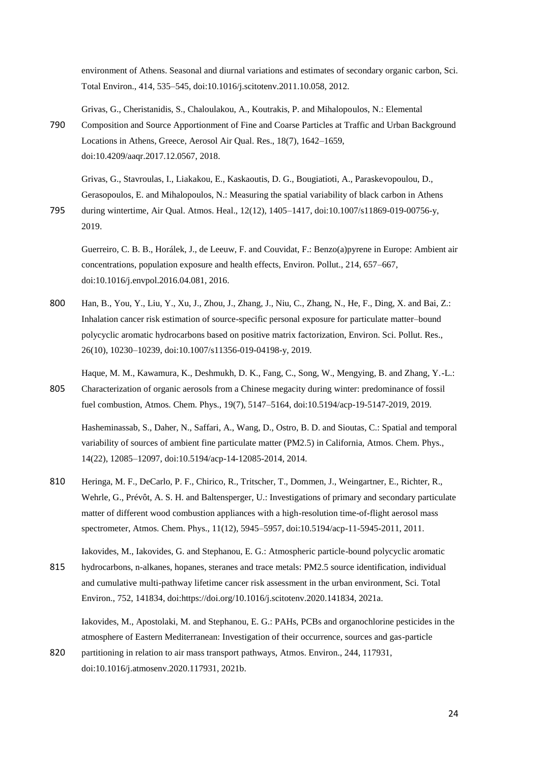environment of Athens. Seasonal and diurnal variations and estimates of secondary organic carbon, Sci. Total Environ., 414, 535–545, doi:10.1016/j.scitotenv.2011.10.058, 2012.

Grivas, G., Cheristanidis, S., Chaloulakou, A., Koutrakis, P. and Mihalopoulos, N.: Elemental 790 Composition and Source Apportionment of Fine and Coarse Particles at Traffic and Urban Background Locations in Athens, Greece, Aerosol Air Qual. Res., 18(7), 1642–1659, doi:10.4209/aaqr.2017.12.0567, 2018.

Grivas, G., Stavroulas, I., Liakakou, E., Kaskaoutis, D. G., Bougiatioti, A., Paraskevopoulou, D., Gerasopoulos, E. and Mihalopoulos, N.: Measuring the spatial variability of black carbon in Athens

795 during wintertime, Air Qual. Atmos. Heal., 12(12), 1405–1417, doi:10.1007/s11869-019-00756-y, 2019.

Guerreiro, C. B. B., Horálek, J., de Leeuw, F. and Couvidat, F.: Benzo(a)pyrene in Europe: Ambient air concentrations, population exposure and health effects, Environ. Pollut., 214, 657–667, doi:10.1016/j.envpol.2016.04.081, 2016.

800 Han, B., You, Y., Liu, Y., Xu, J., Zhou, J., Zhang, J., Niu, C., Zhang, N., He, F., Ding, X. and Bai, Z.: Inhalation cancer risk estimation of source-specific personal exposure for particulate matter–bound polycyclic aromatic hydrocarbons based on positive matrix factorization, Environ. Sci. Pollut. Res., 26(10), 10230–10239, doi:10.1007/s11356-019-04198-y, 2019.

Haque, M. M., Kawamura, K., Deshmukh, D. K., Fang, C., Song, W., Mengying, B. and Zhang, Y.-L.: 805 Characterization of organic aerosols from a Chinese megacity during winter: predominance of fossil fuel combustion, Atmos. Chem. Phys., 19(7), 5147–5164, doi:10.5194/acp-19-5147-2019, 2019.

Hasheminassab, S., Daher, N., Saffari, A., Wang, D., Ostro, B. D. and Sioutas, C.: Spatial and temporal variability of sources of ambient fine particulate matter (PM2.5) in California, Atmos. Chem. Phys., 14(22), 12085–12097, doi:10.5194/acp-14-12085-2014, 2014.

810 Heringa, M. F., DeCarlo, P. F., Chirico, R., Tritscher, T., Dommen, J., Weingartner, E., Richter, R., Wehrle, G., Prévôt, A. S. H. and Baltensperger, U.: Investigations of primary and secondary particulate matter of different wood combustion appliances with a high-resolution time-of-flight aerosol mass spectrometer, Atmos. Chem. Phys., 11(12), 5945–5957, doi:10.5194/acp-11-5945-2011, 2011.

Iakovides, M., Iakovides, G. and Stephanou, E. G.: Atmospheric particle-bound polycyclic aromatic 815 hydrocarbons, n-alkanes, hopanes, steranes and trace metals: PM2.5 source identification, individual and cumulative multi-pathway lifetime cancer risk assessment in the urban environment, Sci. Total Environ., 752, 141834, doi:https://doi.org/10.1016/j.scitotenv.2020.141834, 2021a.

Iakovides, M., Apostolaki, M. and Stephanou, E. G.: PAHs, PCBs and organochlorine pesticides in the atmosphere of Eastern Mediterranean: Investigation of their occurrence, sources and gas-particle

820 partitioning in relation to air mass transport pathways, Atmos. Environ., 244, 117931, doi:10.1016/j.atmosenv.2020.117931, 2021b.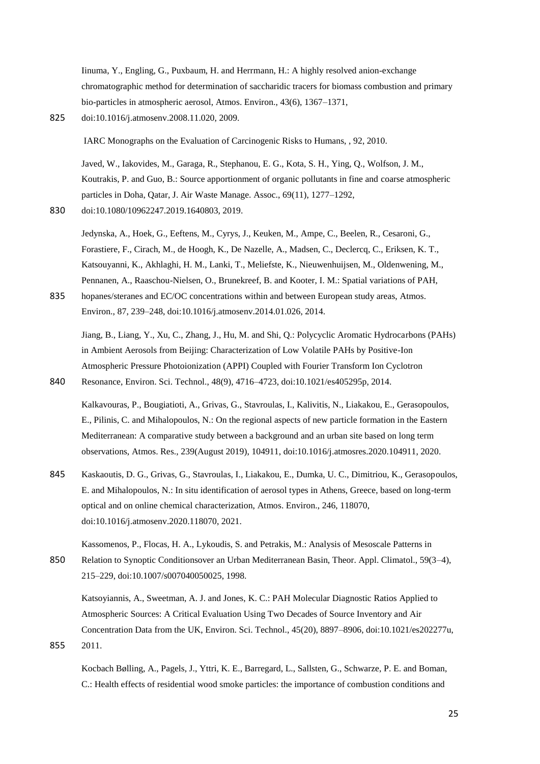Iinuma, Y., Engling, G., Puxbaum, H. and Herrmann, H.: A highly resolved anion-exchange chromatographic method for determination of saccharidic tracers for biomass combustion and primary bio-particles in atmospheric aerosol, Atmos. Environ., 43(6), 1367–1371,

825 doi:10.1016/j.atmosenv.2008.11.020, 2009.

IARC Monographs on the Evaluation of Carcinogenic Risks to Humans, , 92, 2010.

Javed, W., Iakovides, M., Garaga, R., Stephanou, E. G., Kota, S. H., Ying, Q., Wolfson, J. M., Koutrakis, P. and Guo, B.: Source apportionment of organic pollutants in fine and coarse atmospheric particles in Doha, Qatar, J. Air Waste Manage. Assoc., 69(11), 1277–1292,

830 doi:10.1080/10962247.2019.1640803, 2019.

Jedynska, A., Hoek, G., Eeftens, M., Cyrys, J., Keuken, M., Ampe, C., Beelen, R., Cesaroni, G., Forastiere, F., Cirach, M., de Hoogh, K., De Nazelle, A., Madsen, C., Declercq, C., Eriksen, K. T., Katsouyanni, K., Akhlaghi, H. M., Lanki, T., Meliefste, K., Nieuwenhuijsen, M., Oldenwening, M., Pennanen, A., Raaschou-Nielsen, O., Brunekreef, B. and Kooter, I. M.: Spatial variations of PAH,

835 hopanes/steranes and EC/OC concentrations within and between European study areas, Atmos. Environ., 87, 239–248, doi:10.1016/j.atmosenv.2014.01.026, 2014.

Jiang, B., Liang, Y., Xu, C., Zhang, J., Hu, M. and Shi, Q.: Polycyclic Aromatic Hydrocarbons (PAHs) in Ambient Aerosols from Beijing: Characterization of Low Volatile PAHs by Positive-Ion Atmospheric Pressure Photoionization (APPI) Coupled with Fourier Transform Ion Cyclotron 840 Resonance, Environ. Sci. Technol., 48(9), 4716–4723, doi:10.1021/es405295p, 2014.

Kalkavouras, P., Bougiatioti, A., Grivas, G., Stavroulas, I., Kalivitis, N., Liakakou, E., Gerasopoulos, E., Pilinis, C. and Mihalopoulos, N.: On the regional aspects of new particle formation in the Eastern Mediterranean: A comparative study between a background and an urban site based on long term observations, Atmos. Res., 239(August 2019), 104911, doi:10.1016/j.atmosres.2020.104911, 2020.

845 Kaskaoutis, D. G., Grivas, G., Stavroulas, I., Liakakou, E., Dumka, U. C., Dimitriou, K., Gerasopoulos, E. and Mihalopoulos, N.: In situ identification of aerosol types in Athens, Greece, based on long-term optical and on online chemical characterization, Atmos. Environ., 246, 118070, doi:10.1016/j.atmosenv.2020.118070, 2021.

Kassomenos, P., Flocas, H. A., Lykoudis, S. and Petrakis, M.: Analysis of Mesoscale Patterns in 850 Relation to Synoptic Conditionsover an Urban Mediterranean Basin, Theor. Appl. Climatol., 59(3–4), 215–229, doi:10.1007/s007040050025, 1998.

Katsoyiannis, A., Sweetman, A. J. and Jones, K. C.: PAH Molecular Diagnostic Ratios Applied to Atmospheric Sources: A Critical Evaluation Using Two Decades of Source Inventory and Air Concentration Data from the UK, Environ. Sci. Technol., 45(20), 8897–8906, doi:10.1021/es202277u, 855 2011.

Kocbach Bølling, A., Pagels, J., Yttri, K. E., Barregard, L., Sallsten, G., Schwarze, P. E. and Boman, C.: Health effects of residential wood smoke particles: the importance of combustion conditions and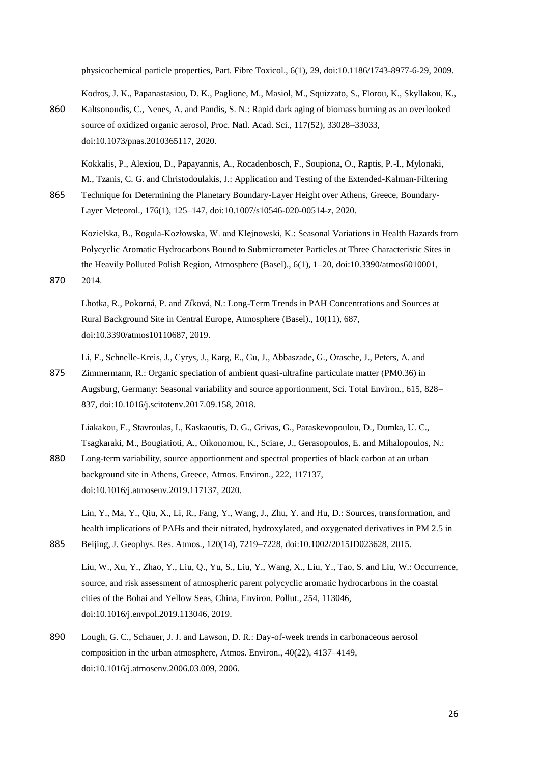physicochemical particle properties, Part. Fibre Toxicol., 6(1), 29, doi:10.1186/1743-8977-6-29, 2009.

Kodros, J. K., Papanastasiou, D. K., Paglione, M., Masiol, M., Squizzato, S., Florou, K., Skyllakou, K.,

860 Kaltsonoudis, C., Nenes, A. and Pandis, S. N.: Rapid dark aging of biomass burning as an overlooked source of oxidized organic aerosol, Proc. Natl. Acad. Sci., 117(52), 33028–33033, doi:10.1073/pnas.2010365117, 2020.

Kokkalis, P., Alexiou, D., Papayannis, A., Rocadenbosch, F., Soupiona, O., Raptis, P.-I., Mylonaki, M., Tzanis, C. G. and Christodoulakis, J.: Application and Testing of the Extended-Kalman-Filtering 865 Technique for Determining the Planetary Boundary-Layer Height over Athens, Greece, Boundary-

Layer Meteorol., 176(1), 125–147, doi:10.1007/s10546-020-00514-z, 2020.

Kozielska, B., Rogula-Kozłowska, W. and Klejnowski, K.: Seasonal Variations in Health Hazards from Polycyclic Aromatic Hydrocarbons Bound to Submicrometer Particles at Three Characteristic Sites in the Heavily Polluted Polish Region, Atmosphere (Basel)., 6(1), 1–20, doi:10.3390/atmos6010001, 870 2014.

Lhotka, R., Pokorná, P. and Zíková, N.: Long-Term Trends in PAH Concentrations and Sources at Rural Background Site in Central Europe, Atmosphere (Basel)., 10(11), 687, doi:10.3390/atmos10110687, 2019.

Li, F., Schnelle-Kreis, J., Cyrys, J., Karg, E., Gu, J., Abbaszade, G., Orasche, J., Peters, A. and 875 Zimmermann, R.: Organic speciation of ambient quasi-ultrafine particulate matter (PM0.36) in Augsburg, Germany: Seasonal variability and source apportionment, Sci. Total Environ., 615, 828– 837, doi:10.1016/j.scitotenv.2017.09.158, 2018.

Liakakou, E., Stavroulas, I., Kaskaoutis, D. G., Grivas, G., Paraskevopoulou, D., Dumka, U. C., Tsagkaraki, M., Bougiatioti, A., Oikonomou, K., Sciare, J., Gerasopoulos, E. and Mihalopoulos, N.: 880 Long-term variability, source apportionment and spectral properties of black carbon at an urban background site in Athens, Greece, Atmos. Environ., 222, 117137,

doi:10.1016/j.atmosenv.2019.117137, 2020.

Lin, Y., Ma, Y., Qiu, X., Li, R., Fang, Y., Wang, J., Zhu, Y. and Hu, D.: Sources, transformation, and health implications of PAHs and their nitrated, hydroxylated, and oxygenated derivatives in PM 2.5 in 885 Beijing, J. Geophys. Res. Atmos., 120(14), 7219–7228, doi:10.1002/2015JD023628, 2015.

Liu, W., Xu, Y., Zhao, Y., Liu, Q., Yu, S., Liu, Y., Wang, X., Liu, Y., Tao, S. and Liu, W.: Occurrence, source, and risk assessment of atmospheric parent polycyclic aromatic hydrocarbons in the coastal cities of the Bohai and Yellow Seas, China, Environ. Pollut., 254, 113046, doi:10.1016/j.envpol.2019.113046, 2019.

890 Lough, G. C., Schauer, J. J. and Lawson, D. R.: Day-of-week trends in carbonaceous aerosol composition in the urban atmosphere, Atmos. Environ., 40(22), 4137–4149, doi:10.1016/j.atmosenv.2006.03.009, 2006.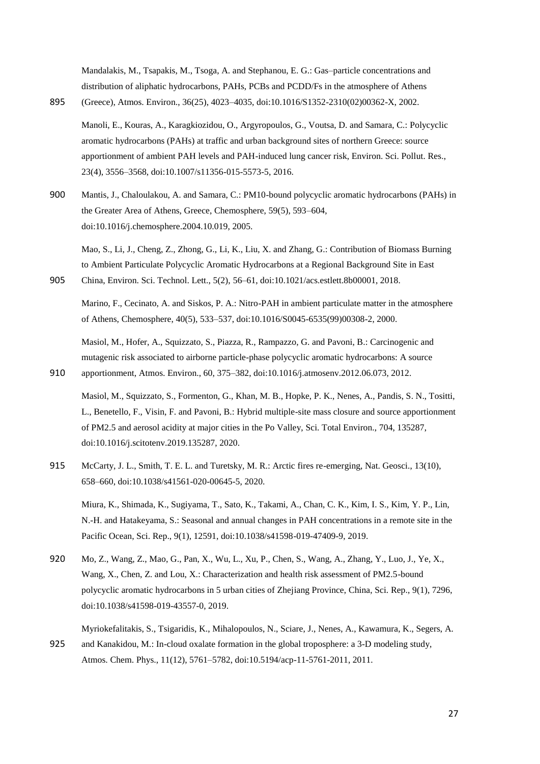Mandalakis, M., Tsapakis, M., Tsoga, A. and Stephanou, E. G.: Gas–particle concentrations and distribution of aliphatic hydrocarbons, PAHs, PCBs and PCDD/Fs in the atmosphere of Athens 895 (Greece), Atmos. Environ., 36(25), 4023–4035, doi:10.1016/S1352-2310(02)00362-X, 2002.

Manoli, E., Kouras, A., Karagkiozidou, O., Argyropoulos, G., Voutsa, D. and Samara, C.: Polycyclic aromatic hydrocarbons (PAHs) at traffic and urban background sites of northern Greece: source apportionment of ambient PAH levels and PAH-induced lung cancer risk, Environ. Sci. Pollut. Res., 23(4), 3556–3568, doi:10.1007/s11356-015-5573-5, 2016.

900 Mantis, J., Chaloulakou, A. and Samara, C.: PM10-bound polycyclic aromatic hydrocarbons (PAHs) in the Greater Area of Athens, Greece, Chemosphere, 59(5), 593–604, doi:10.1016/j.chemosphere.2004.10.019, 2005.

Mao, S., Li, J., Cheng, Z., Zhong, G., Li, K., Liu, X. and Zhang, G.: Contribution of Biomass Burning to Ambient Particulate Polycyclic Aromatic Hydrocarbons at a Regional Background Site in East 905 China, Environ. Sci. Technol. Lett., 5(2), 56–61, doi:10.1021/acs.estlett.8b00001, 2018.

Marino, F., Cecinato, A. and Siskos, P. A.: Nitro-PAH in ambient particulate matter in the atmosphere of Athens, Chemosphere, 40(5), 533–537, doi:10.1016/S0045-6535(99)00308-2, 2000.

Masiol, M., Hofer, A., Squizzato, S., Piazza, R., Rampazzo, G. and Pavoni, B.: Carcinogenic and mutagenic risk associated to airborne particle-phase polycyclic aromatic hydrocarbons: A source 910 apportionment, Atmos. Environ., 60, 375–382, doi:10.1016/j.atmosenv.2012.06.073, 2012.

Masiol, M., Squizzato, S., Formenton, G., Khan, M. B., Hopke, P. K., Nenes, A., Pandis, S. N., Tositti, L., Benetello, F., Visin, F. and Pavoni, B.: Hybrid multiple-site mass closure and source apportionment of PM2.5 and aerosol acidity at major cities in the Po Valley, Sci. Total Environ., 704, 135287, doi:10.1016/j.scitotenv.2019.135287, 2020.

915 McCarty, J. L., Smith, T. E. L. and Turetsky, M. R.: Arctic fires re-emerging, Nat. Geosci., 13(10), 658–660, doi:10.1038/s41561-020-00645-5, 2020.

Miura, K., Shimada, K., Sugiyama, T., Sato, K., Takami, A., Chan, C. K., Kim, I. S., Kim, Y. P., Lin, N.-H. and Hatakeyama, S.: Seasonal and annual changes in PAH concentrations in a remote site in the Pacific Ocean, Sci. Rep., 9(1), 12591, doi:10.1038/s41598-019-47409-9, 2019.

920 Mo, Z., Wang, Z., Mao, G., Pan, X., Wu, L., Xu, P., Chen, S., Wang, A., Zhang, Y., Luo, J., Ye, X., Wang, X., Chen, Z. and Lou, X.: Characterization and health risk assessment of PM2.5-bound polycyclic aromatic hydrocarbons in 5 urban cities of Zhejiang Province, China, Sci. Rep., 9(1), 7296, doi:10.1038/s41598-019-43557-0, 2019.

Myriokefalitakis, S., Tsigaridis, K., Mihalopoulos, N., Sciare, J., Nenes, A., Kawamura, K., Segers, A. 925 and Kanakidou, M.: In-cloud oxalate formation in the global troposphere: a 3-D modeling study, Atmos. Chem. Phys., 11(12), 5761–5782, doi:10.5194/acp-11-5761-2011, 2011.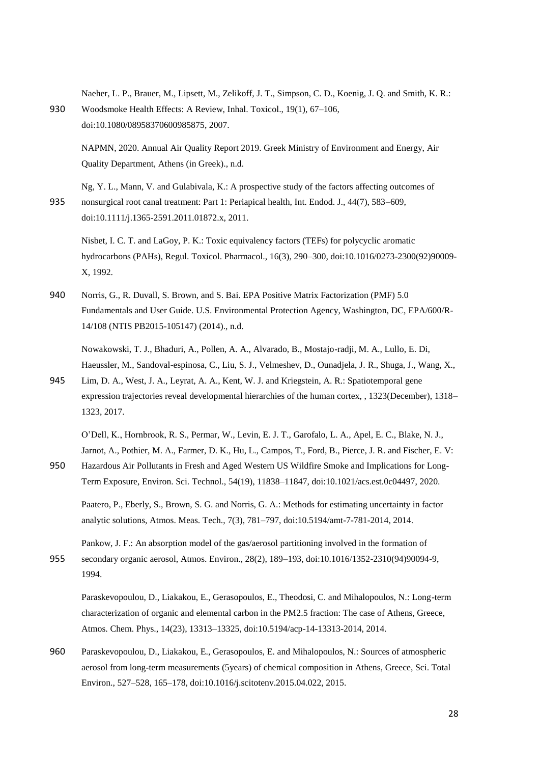Naeher, L. P., Brauer, M., Lipsett, M., Zelikoff, J. T., Simpson, C. D., Koenig, J. Q. and Smith, K. R.: 930 Woodsmoke Health Effects: A Review, Inhal. Toxicol., 19(1), 67–106, doi:10.1080/08958370600985875, 2007.

NAPMN, 2020. Annual Air Quality Report 2019. Greek Ministry of Environment and Energy, Air Quality Department, Athens (in Greek)., n.d.

Ng, Y. L., Mann, V. and Gulabivala, K.: A prospective study of the factors affecting outcomes of 935 nonsurgical root canal treatment: Part 1: Periapical health, Int. Endod. J., 44(7), 583–609, doi:10.1111/j.1365-2591.2011.01872.x, 2011.

Nisbet, I. C. T. and LaGoy, P. K.: Toxic equivalency factors (TEFs) for polycyclic aromatic hydrocarbons (PAHs), Regul. Toxicol. Pharmacol., 16(3), 290–300, doi:10.1016/0273-2300(92)90009- X, 1992.

940 Norris, G., R. Duvall, S. Brown, and S. Bai. EPA Positive Matrix Factorization (PMF) 5.0 Fundamentals and User Guide. U.S. Environmental Protection Agency, Washington, DC, EPA/600/R-14/108 (NTIS PB2015-105147) (2014)., n.d.

Nowakowski, T. J., Bhaduri, A., Pollen, A. A., Alvarado, B., Mostajo-radji, M. A., Lullo, E. Di, Haeussler, M., Sandoval-espinosa, C., Liu, S. J., Velmeshev, D., Ounadjela, J. R., Shuga, J., Wang, X.,

945 Lim, D. A., West, J. A., Leyrat, A. A., Kent, W. J. and Kriegstein, A. R.: Spatiotemporal gene expression trajectories reveal developmental hierarchies of the human cortex, , 1323(December), 1318– 1323, 2017.

O'Dell, K., Hornbrook, R. S., Permar, W., Levin, E. J. T., Garofalo, L. A., Apel, E. C., Blake, N. J., Jarnot, A., Pothier, M. A., Farmer, D. K., Hu, L., Campos, T., Ford, B., Pierce, J. R. and Fischer, E. V:

950 Hazardous Air Pollutants in Fresh and Aged Western US Wildfire Smoke and Implications for Long-Term Exposure, Environ. Sci. Technol., 54(19), 11838–11847, doi:10.1021/acs.est.0c04497, 2020.

Paatero, P., Eberly, S., Brown, S. G. and Norris, G. A.: Methods for estimating uncertainty in factor analytic solutions, Atmos. Meas. Tech., 7(3), 781–797, doi:10.5194/amt-7-781-2014, 2014.

Pankow, J. F.: An absorption model of the gas/aerosol partitioning involved in the formation of 955 secondary organic aerosol, Atmos. Environ., 28(2), 189–193, doi:10.1016/1352-2310(94)90094-9, 1994.

Paraskevopoulou, D., Liakakou, E., Gerasopoulos, E., Theodosi, C. and Mihalopoulos, N.: Long-term characterization of organic and elemental carbon in the PM2.5 fraction: The case of Athens, Greece, Atmos. Chem. Phys., 14(23), 13313–13325, doi:10.5194/acp-14-13313-2014, 2014.

960 Paraskevopoulou, D., Liakakou, E., Gerasopoulos, E. and Mihalopoulos, N.: Sources of atmospheric aerosol from long-term measurements (5years) of chemical composition in Athens, Greece, Sci. Total Environ., 527–528, 165–178, doi:10.1016/j.scitotenv.2015.04.022, 2015.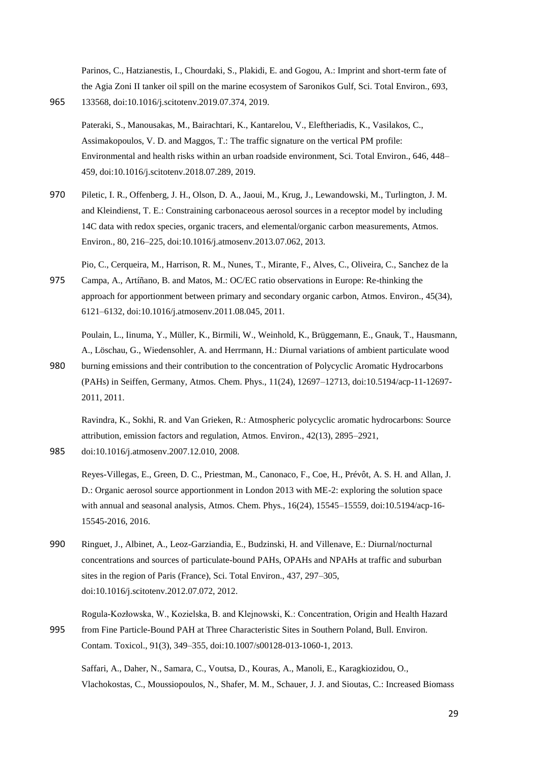Parinos, C., Hatzianestis, I., Chourdaki, S., Plakidi, E. and Gogou, A.: Imprint and short-term fate of the Agia Zoni II tanker oil spill on the marine ecosystem of Saronikos Gulf, Sci. Total Environ., 693, 965 133568, doi:10.1016/j.scitotenv.2019.07.374, 2019.

Pateraki, S., Manousakas, M., Bairachtari, K., Kantarelou, V., Eleftheriadis, K., Vasilakos, C., Assimakopoulos, V. D. and Maggos, T.: The traffic signature on the vertical PM profile: Environmental and health risks within an urban roadside environment, Sci. Total Environ., 646, 448– 459, doi:10.1016/j.scitotenv.2018.07.289, 2019.

970 Piletic, I. R., Offenberg, J. H., Olson, D. A., Jaoui, M., Krug, J., Lewandowski, M., Turlington, J. M. and Kleindienst, T. E.: Constraining carbonaceous aerosol sources in a receptor model by including 14C data with redox species, organic tracers, and elemental/organic carbon measurements, Atmos. Environ., 80, 216–225, doi:10.1016/j.atmosenv.2013.07.062, 2013.

Pio, C., Cerqueira, M., Harrison, R. M., Nunes, T., Mirante, F., Alves, C., Oliveira, C., Sanchez de la

- 975 Campa, A., Artíñano, B. and Matos, M.: OC/EC ratio observations in Europe: Re-thinking the approach for apportionment between primary and secondary organic carbon, Atmos. Environ., 45(34), 6121–6132, doi:10.1016/j.atmosenv.2011.08.045, 2011.
- Poulain, L., Iinuma, Y., Müller, K., Birmili, W., Weinhold, K., Brüggemann, E., Gnauk, T., Hausmann, A., Löschau, G., Wiedensohler, A. and Herrmann, H.: Diurnal variations of ambient particulate wood 980 burning emissions and their contribution to the concentration of Polycyclic Aromatic Hydrocarbons (PAHs) in Seiffen, Germany, Atmos. Chem. Phys., 11(24), 12697–12713, doi:10.5194/acp-11-12697-

Ravindra, K., Sokhi, R. and Van Grieken, R.: Atmospheric polycyclic aromatic hydrocarbons: Source attribution, emission factors and regulation, Atmos. Environ., 42(13), 2895–2921,

985 doi:10.1016/j.atmosenv.2007.12.010, 2008.

2011, 2011.

Reyes-Villegas, E., Green, D. C., Priestman, M., Canonaco, F., Coe, H., Prévôt, A. S. H. and Allan, J. D.: Organic aerosol source apportionment in London 2013 with ME-2: exploring the solution space with annual and seasonal analysis, Atmos. Chem. Phys., 16(24), 15545–15559, doi:10.5194/acp-16- 15545-2016, 2016.

990 Ringuet, J., Albinet, A., Leoz-Garziandia, E., Budzinski, H. and Villenave, E.: Diurnal/nocturnal concentrations and sources of particulate-bound PAHs, OPAHs and NPAHs at traffic and suburban sites in the region of Paris (France), Sci. Total Environ., 437, 297–305, doi:10.1016/j.scitotenv.2012.07.072, 2012.

Rogula-Kozłowska, W., Kozielska, B. and Klejnowski, K.: Concentration, Origin and Health Hazard

995 from Fine Particle-Bound PAH at Three Characteristic Sites in Southern Poland, Bull. Environ. Contam. Toxicol., 91(3), 349–355, doi:10.1007/s00128-013-1060-1, 2013.

Saffari, A., Daher, N., Samara, C., Voutsa, D., Kouras, A., Manoli, E., Karagkiozidou, O., Vlachokostas, C., Moussiopoulos, N., Shafer, M. M., Schauer, J. J. and Sioutas, C.: Increased Biomass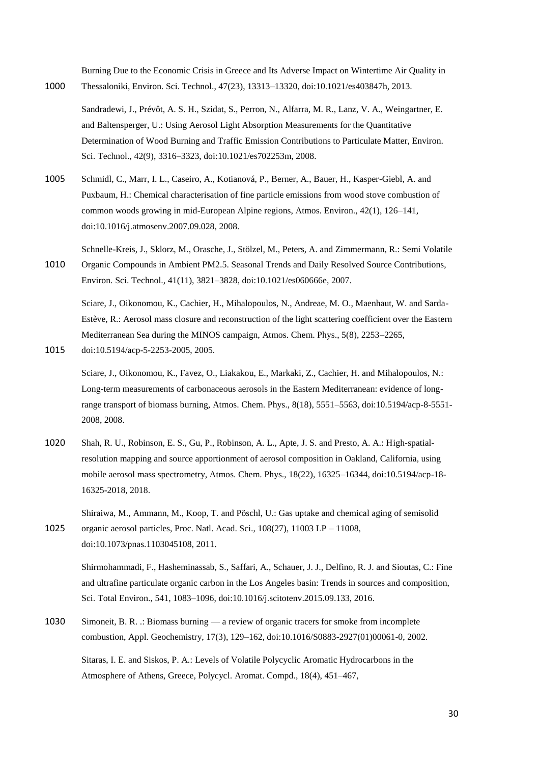Burning Due to the Economic Crisis in Greece and Its Adverse Impact on Wintertime Air Quality in 1000 Thessaloniki, Environ. Sci. Technol., 47(23), 13313–13320, doi:10.1021/es403847h, 2013.

Sandradewi, J., Prévôt, A. S. H., Szidat, S., Perron, N., Alfarra, M. R., Lanz, V. A., Weingartner, E. and Baltensperger, U.: Using Aerosol Light Absorption Measurements for the Quantitative Determination of Wood Burning and Traffic Emission Contributions to Particulate Matter, Environ. Sci. Technol., 42(9), 3316–3323, doi:10.1021/es702253m, 2008.

1005 Schmidl, C., Marr, I. L., Caseiro, A., Kotianová, P., Berner, A., Bauer, H., Kasper-Giebl, A. and Puxbaum, H.: Chemical characterisation of fine particle emissions from wood stove combustion of common woods growing in mid-European Alpine regions, Atmos. Environ., 42(1), 126–141, doi:10.1016/j.atmosenv.2007.09.028, 2008.

Schnelle-Kreis, J., Sklorz, M., Orasche, J., Stölzel, M., Peters, A. and Zimmermann, R.: Semi Volatile 1010 Organic Compounds in Ambient PM2.5. Seasonal Trends and Daily Resolved Source Contributions, Environ. Sci. Technol., 41(11), 3821–3828, doi:10.1021/es060666e, 2007.

Sciare, J., Oikonomou, K., Cachier, H., Mihalopoulos, N., Andreae, M. O., Maenhaut, W. and Sarda-Estève, R.: Aerosol mass closure and reconstruction of the light scattering coefficient over the Eastern Mediterranean Sea during the MINOS campaign, Atmos. Chem. Phys., 5(8), 2253–2265,

1015 doi:10.5194/acp-5-2253-2005, 2005.

Sciare, J., Oikonomou, K., Favez, O., Liakakou, E., Markaki, Z., Cachier, H. and Mihalopoulos, N.: Long-term measurements of carbonaceous aerosols in the Eastern Mediterranean: evidence of longrange transport of biomass burning, Atmos. Chem. Phys., 8(18), 5551–5563, doi:10.5194/acp-8-5551- 2008, 2008.

1020 Shah, R. U., Robinson, E. S., Gu, P., Robinson, A. L., Apte, J. S. and Presto, A. A.: High-spatialresolution mapping and source apportionment of aerosol composition in Oakland, California, using mobile aerosol mass spectrometry, Atmos. Chem. Phys., 18(22), 16325–16344, doi:10.5194/acp-18- 16325-2018, 2018.

Shiraiwa, M., Ammann, M., Koop, T. and Pöschl, U.: Gas uptake and chemical aging of semisolid 1025 organic aerosol particles, Proc. Natl. Acad. Sci., 108(27), 11003 LP – 11008, doi:10.1073/pnas.1103045108, 2011.

Shirmohammadi, F., Hasheminassab, S., Saffari, A., Schauer, J. J., Delfino, R. J. and Sioutas, C.: Fine and ultrafine particulate organic carbon in the Los Angeles basin: Trends in sources and composition, Sci. Total Environ., 541, 1083–1096, doi:10.1016/j.scitotenv.2015.09.133, 2016.

1030 Simoneit, B. R. .: Biomass burning — a review of organic tracers for smoke from incomplete combustion, Appl. Geochemistry, 17(3), 129–162, doi:10.1016/S0883-2927(01)00061-0, 2002.

Sitaras, I. E. and Siskos, P. A.: Levels of Volatile Polycyclic Aromatic Hydrocarbons in the Atmosphere of Athens, Greece, Polycycl. Aromat. Compd., 18(4), 451–467,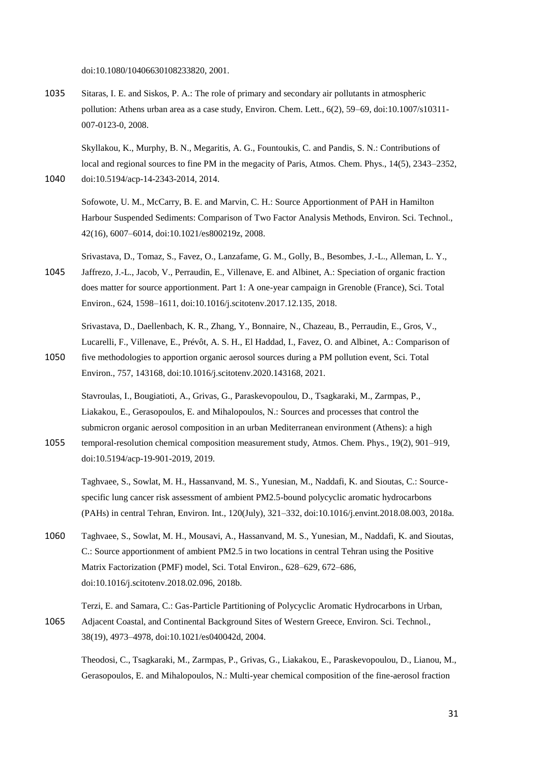doi:10.1080/10406630108233820, 2001.

1035 Sitaras, I. E. and Siskos, P. A.: The role of primary and secondary air pollutants in atmospheric pollution: Athens urban area as a case study, Environ. Chem. Lett., 6(2), 59–69, doi:10.1007/s10311- 007-0123-0, 2008.

Skyllakou, K., Murphy, B. N., Megaritis, A. G., Fountoukis, C. and Pandis, S. N.: Contributions of local and regional sources to fine PM in the megacity of Paris, Atmos. Chem. Phys., 14(5), 2343–2352, 1040 doi:10.5194/acp-14-2343-2014, 2014.

Sofowote, U. M., McCarry, B. E. and Marvin, C. H.: Source Apportionment of PAH in Hamilton Harbour Suspended Sediments: Comparison of Two Factor Analysis Methods, Environ. Sci. Technol., 42(16), 6007–6014, doi:10.1021/es800219z, 2008.

Srivastava, D., Tomaz, S., Favez, O., Lanzafame, G. M., Golly, B., Besombes, J.-L., Alleman, L. Y., 1045 Jaffrezo, J.-L., Jacob, V., Perraudin, E., Villenave, E. and Albinet, A.: Speciation of organic fraction does matter for source apportionment. Part 1: A one-year campaign in Grenoble (France), Sci. Total Environ., 624, 1598–1611, doi:10.1016/j.scitotenv.2017.12.135, 2018.

Srivastava, D., Daellenbach, K. R., Zhang, Y., Bonnaire, N., Chazeau, B., Perraudin, E., Gros, V., Lucarelli, F., Villenave, E., Prévôt, A. S. H., El Haddad, I., Favez, O. and Albinet, A.: Comparison of

1050 five methodologies to apportion organic aerosol sources during a PM pollution event, Sci. Total Environ., 757, 143168, doi:10.1016/j.scitotenv.2020.143168, 2021.

Stavroulas, I., Bougiatioti, A., Grivas, G., Paraskevopoulou, D., Tsagkaraki, M., Zarmpas, P., Liakakou, E., Gerasopoulos, E. and Mihalopoulos, N.: Sources and processes that control the submicron organic aerosol composition in an urban Mediterranean environment (Athens): a high

1055 temporal-resolution chemical composition measurement study, Atmos. Chem. Phys., 19(2), 901–919, doi:10.5194/acp-19-901-2019, 2019.

Taghvaee, S., Sowlat, M. H., Hassanvand, M. S., Yunesian, M., Naddafi, K. and Sioutas, C.: Sourcespecific lung cancer risk assessment of ambient PM2.5-bound polycyclic aromatic hydrocarbons (PAHs) in central Tehran, Environ. Int., 120(July), 321–332, doi:10.1016/j.envint.2018.08.003, 2018a.

1060 Taghvaee, S., Sowlat, M. H., Mousavi, A., Hassanvand, M. S., Yunesian, M., Naddafi, K. and Sioutas, C.: Source apportionment of ambient PM2.5 in two locations in central Tehran using the Positive Matrix Factorization (PMF) model, Sci. Total Environ., 628–629, 672–686, doi:10.1016/j.scitotenv.2018.02.096, 2018b.

Terzi, E. and Samara, C.: Gas-Particle Partitioning of Polycyclic Aromatic Hydrocarbons in Urban, 1065 Adjacent Coastal, and Continental Background Sites of Western Greece, Environ. Sci. Technol., 38(19), 4973–4978, doi:10.1021/es040042d, 2004.

Theodosi, C., Tsagkaraki, M., Zarmpas, P., Grivas, G., Liakakou, E., Paraskevopoulou, D., Lianou, M., Gerasopoulos, E. and Mihalopoulos, N.: Multi-year chemical composition of the fine-aerosol fraction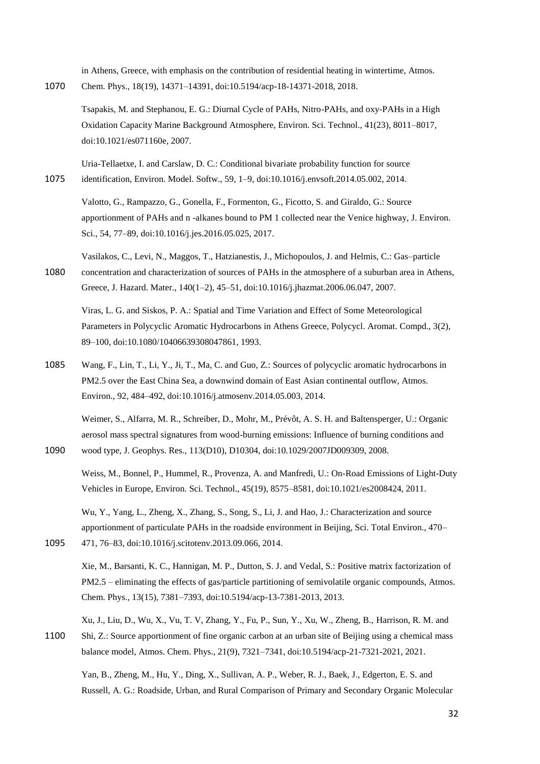in Athens, Greece, with emphasis on the contribution of residential heating in wintertime, Atmos. 1070 Chem. Phys., 18(19), 14371–14391, doi:10.5194/acp-18-14371-2018, 2018.

Tsapakis, M. and Stephanou, E. G.: Diurnal Cycle of PAHs, Nitro-PAHs, and oxy-PAHs in a High Oxidation Capacity Marine Background Atmosphere, Environ. Sci. Technol., 41(23), 8011–8017, doi:10.1021/es071160e, 2007.

Uria-Tellaetxe, I. and Carslaw, D. C.: Conditional bivariate probability function for source 1075 identification, Environ. Model. Softw., 59, 1–9, doi:10.1016/j.envsoft.2014.05.002, 2014.

Valotto, G., Rampazzo, G., Gonella, F., Formenton, G., Ficotto, S. and Giraldo, G.: Source apportionment of PAHs and n -alkanes bound to PM 1 collected near the Venice highway, J. Environ. Sci., 54, 77–89, doi:10.1016/j.jes.2016.05.025, 2017.

Vasilakos, C., Levi, N., Maggos, T., Hatzianestis, J., Michopoulos, J. and Helmis, C.: Gas–particle 1080 concentration and characterization of sources of PAHs in the atmosphere of a suburban area in Athens, Greece, J. Hazard. Mater., 140(1–2), 45–51, doi:10.1016/j.jhazmat.2006.06.047, 2007.

Viras, L. G. and Siskos, P. A.: Spatial and Time Variation and Effect of Some Meteorological Parameters in Polycyclic Aromatic Hydrocarbons in Athens Greece, Polycycl. Aromat. Compd., 3(2), 89–100, doi:10.1080/10406639308047861, 1993.

1085 Wang, F., Lin, T., Li, Y., Ji, T., Ma, C. and Guo, Z.: Sources of polycyclic aromatic hydrocarbons in PM2.5 over the East China Sea, a downwind domain of East Asian continental outflow, Atmos. Environ., 92, 484–492, doi:10.1016/j.atmosenv.2014.05.003, 2014.

Weimer, S., Alfarra, M. R., Schreiber, D., Mohr, M., Prévôt, A. S. H. and Baltensperger, U.: Organic aerosol mass spectral signatures from wood-burning emissions: Influence of burning conditions and 1090 wood type, J. Geophys. Res., 113(D10), D10304, doi:10.1029/2007JD009309, 2008.

Weiss, M., Bonnel, P., Hummel, R., Provenza, A. and Manfredi, U.: On-Road Emissions of Light-Duty Vehicles in Europe, Environ. Sci. Technol., 45(19), 8575–8581, doi:10.1021/es2008424, 2011.

Wu, Y., Yang, L., Zheng, X., Zhang, S., Song, S., Li, J. and Hao, J.: Characterization and source apportionment of particulate PAHs in the roadside environment in Beijing, Sci. Total Environ., 470– 1095 471, 76–83, doi:10.1016/j.scitotenv.2013.09.066, 2014.

Xie, M., Barsanti, K. C., Hannigan, M. P., Dutton, S. J. and Vedal, S.: Positive matrix factorization of PM2.5 – eliminating the effects of gas/particle partitioning of semivolatile organic compounds, Atmos. Chem. Phys., 13(15), 7381–7393, doi:10.5194/acp-13-7381-2013, 2013.

Xu, J., Liu, D., Wu, X., Vu, T. V, Zhang, Y., Fu, P., Sun, Y., Xu, W., Zheng, B., Harrison, R. M. and 1100 Shi, Z.: Source apportionment of fine organic carbon at an urban site of Beijing using a chemical mass balance model, Atmos. Chem. Phys., 21(9), 7321–7341, doi:10.5194/acp-21-7321-2021, 2021.

Yan, B., Zheng, M., Hu, Y., Ding, X., Sullivan, A. P., Weber, R. J., Baek, J., Edgerton, E. S. and Russell, A. G.: Roadside, Urban, and Rural Comparison of Primary and Secondary Organic Molecular